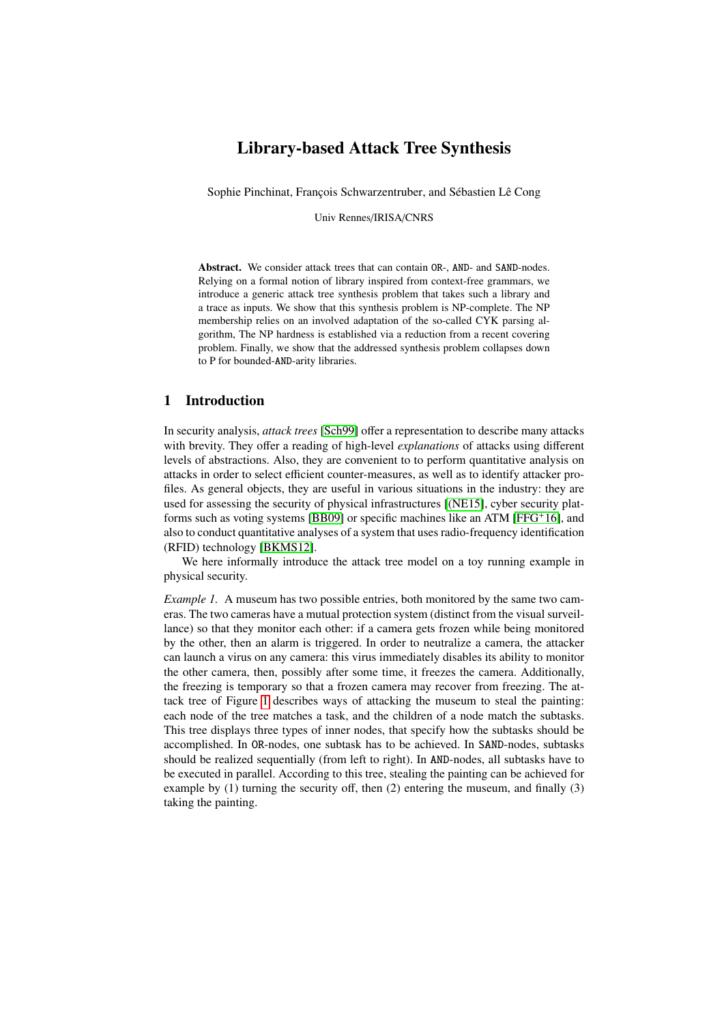# Library-based Attack Tree Synthesis

Sophie Pinchinat, François Schwarzentruber, and Sébastien Lê Cong

Univ Rennes/IRISA/CNRS

Abstract. We consider attack trees that can contain OR-, AND- and SAND-nodes. Relying on a formal notion of library inspired from context-free grammars, we introduce a generic attack tree synthesis problem that takes such a library and a trace as inputs. We show that this synthesis problem is NP-complete. The NP membership relies on an involved adaptation of the so-called CYK parsing algorithm, The NP hardness is established via a reduction from a recent covering problem. Finally, we show that the addressed synthesis problem collapses down to P for bounded-AND-arity libraries.

### 1 Introduction

In security analysis, *attack trees* [\[Sch99\]](#page-19-0) offer a representation to describe many attacks with brevity. They offer a reading of high-level *explanations* of attacks using different levels of abstractions. Also, they are convenient to to perform quantitative analysis on attacks in order to select efficient counter-measures, as well as to identify attacker profiles. As general objects, they are useful in various situations in the industry: they are used for assessing the security of physical infrastructures [\[\(NE15\]](#page-19-1), cyber security platforms such as voting systems [\[BB09\]](#page-18-0) or specific machines like an ATM [\[FFG](#page-18-1)+16], and also to conduct quantitative analyses of a system that uses radio-frequency identification (RFID) technology [\[BKMS12\]](#page-18-2).

We here informally introduce the attack tree model on a toy running example in physical security.

*Example 1.* A museum has two possible entries, both monitored by the same two cameras. The two cameras have a mutual protection system (distinct from the visual surveillance) so that they monitor each other: if a camera gets frozen while being monitored by the other, then an alarm is triggered. In order to neutralize a camera, the attacker can launch a virus on any camera: this virus immediately disables its ability to monitor the other camera, then, possibly after some time, it freezes the camera. Additionally, the freezing is temporary so that a frozen camera may recover from freezing. The attack tree of Figure [1](#page-1-0) describes ways of attacking the museum to steal the painting: each node of the tree matches a task, and the children of a node match the subtasks. This tree displays three types of inner nodes, that specify how the subtasks should be accomplished. In OR-nodes, one subtask has to be achieved. In SAND-nodes, subtasks should be realized sequentially (from left to right). In AND-nodes, all subtasks have to be executed in parallel. According to this tree, stealing the painting can be achieved for example by (1) turning the security off, then (2) entering the museum, and finally (3) taking the painting.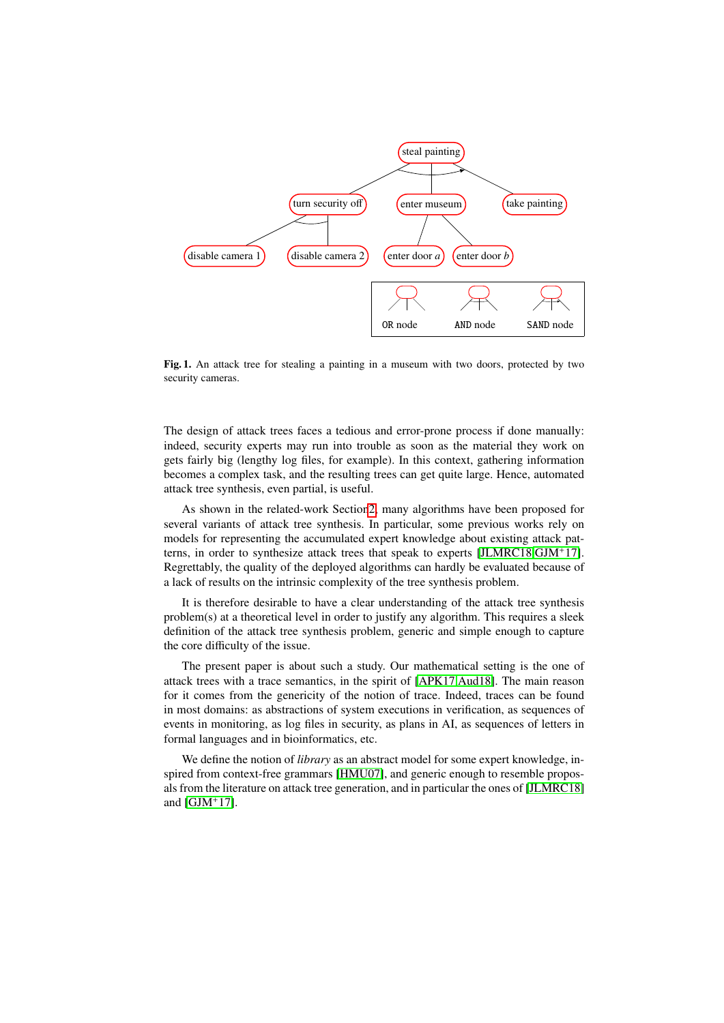

<span id="page-1-0"></span>Fig. 1. An attack tree for stealing a painting in a museum with two doors, protected by two security cameras.

The design of attack trees faces a tedious and error-prone process if done manually: indeed, security experts may run into trouble as soon as the material they work on gets fairly big (lengthy log files, for example). In this context, gathering information becomes a complex task, and the resulting trees can get quite large. Hence, automated attack tree synthesis, even partial, is useful.

As shown in the related-work Sectio[n2,](#page-2-0) many algorithms have been proposed for several variants of attack tree synthesis. In particular, some previous works rely on models for representing the accumulated expert knowledge about existing attack patterns, in order to synthesize attack trees that speak to experts [\[JLMRC18](#page-18-3)[,GJM](#page-18-4)+17]. Regrettably, the quality of the deployed algorithms can hardly be evaluated because of a lack of results on the intrinsic complexity of the tree synthesis problem.

It is therefore desirable to have a clear understanding of the attack tree synthesis problem(s) at a theoretical level in order to justify any algorithm. This requires a sleek definition of the attack tree synthesis problem, generic and simple enough to capture the core difficulty of the issue.

The present paper is about such a study. Our mathematical setting is the one of attack trees with a trace semantics, in the spirit of [\[APK17,](#page-18-5)[Aud18\]](#page-18-6). The main reason for it comes from the genericity of the notion of trace. Indeed, traces can be found in most domains: as abstractions of system executions in verification, as sequences of events in monitoring, as log files in security, as plans in AI, as sequences of letters in formal languages and in bioinformatics, etc.

We define the notion of *library* as an abstract model for some expert knowledge, inspired from context-free grammars [\[HMU07\]](#page-18-7), and generic enough to resemble proposals from the literature on attack tree generation, and in particular the ones of [\[JLMRC18\]](#page-18-3) and [\[GJM](#page-18-4)<sup>+</sup>17].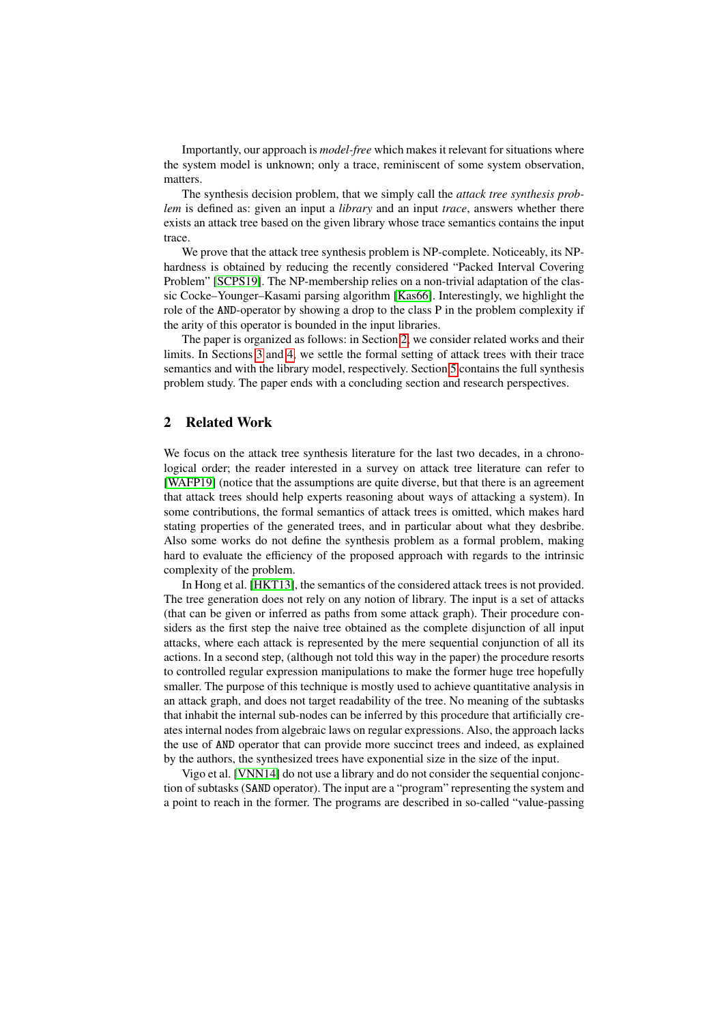Importantly, our approach is *model-free* which makes it relevant for situations where the system model is unknown; only a trace, reminiscent of some system observation, matters.

The synthesis decision problem, that we simply call the *attack tree synthesis problem* is defined as: given an input a *library* and an input *trace*, answers whether there exists an attack tree based on the given library whose trace semantics contains the input trace.

We prove that the attack tree synthesis problem is NP-complete. Noticeably, its NPhardness is obtained by reducing the recently considered "Packed Interval Covering Problem" [\[SCPS19\]](#page-19-2). The NP-membership relies on a non-trivial adaptation of the classic Cocke–Younger–Kasami parsing algorithm [\[Kas66\]](#page-18-8). Interestingly, we highlight the role of the AND-operator by showing a drop to the class P in the problem complexity if the arity of this operator is bounded in the input libraries.

The paper is organized as follows: in Section [2,](#page-2-0) we consider related works and their limits. In Sections [3](#page-4-0) and [4,](#page-9-0) we settle the formal setting of attack trees with their trace semantics and with the library model, respectively. Section [5](#page-12-0) contains the full synthesis problem study. The paper ends with a concluding section and research perspectives.

## <span id="page-2-0"></span>2 Related Work

We focus on the attack tree synthesis literature for the last two decades, in a chronological order; the reader interested in a survey on attack tree literature can refer to [\[WAFP19\]](#page-19-3) (notice that the assumptions are quite diverse, but that there is an agreement that attack trees should help experts reasoning about ways of attacking a system). In some contributions, the formal semantics of attack trees is omitted, which makes hard stating properties of the generated trees, and in particular about what they desbribe. Also some works do not define the synthesis problem as a formal problem, making hard to evaluate the efficiency of the proposed approach with regards to the intrinsic complexity of the problem.

In Hong et al. [\[HKT13\]](#page-18-9), the semantics of the considered attack trees is not provided. The tree generation does not rely on any notion of library. The input is a set of attacks (that can be given or inferred as paths from some attack graph). Their procedure considers as the first step the naive tree obtained as the complete disjunction of all input attacks, where each attack is represented by the mere sequential conjunction of all its actions. In a second step, (although not told this way in the paper) the procedure resorts to controlled regular expression manipulations to make the former huge tree hopefully smaller. The purpose of this technique is mostly used to achieve quantitative analysis in an attack graph, and does not target readability of the tree. No meaning of the subtasks that inhabit the internal sub-nodes can be inferred by this procedure that artificially creates internal nodes from algebraic laws on regular expressions. Also, the approach lacks the use of AND operator that can provide more succinct trees and indeed, as explained by the authors, the synthesized trees have exponential size in the size of the input.

Vigo et al. [\[VNN14\]](#page-19-4) do not use a library and do not consider the sequential conjonction of subtasks (SAND operator). The input are a "program" representing the system and a point to reach in the former. The programs are described in so-called "value-passing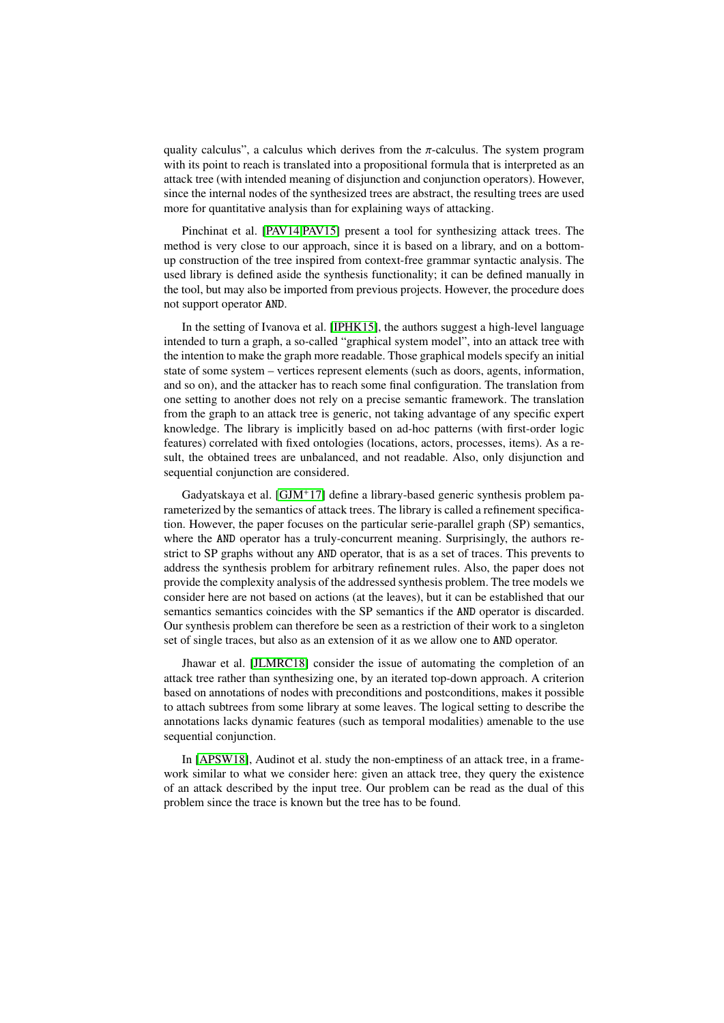quality calculus", a calculus which derives from the  $\pi$ -calculus. The system program with its point to reach is translated into a propositional formula that is interpreted as an attack tree (with intended meaning of disjunction and conjunction operators). However, since the internal nodes of the synthesized trees are abstract, the resulting trees are used more for quantitative analysis than for explaining ways of attacking.

Pinchinat et al. [\[PAV14](#page-19-5)[,PAV15\]](#page-19-6) present a tool for synthesizing attack trees. The method is very close to our approach, since it is based on a library, and on a bottomup construction of the tree inspired from context-free grammar syntactic analysis. The used library is defined aside the synthesis functionality; it can be defined manually in the tool, but may also be imported from previous projects. However, the procedure does not support operator AND.

In the setting of Ivanova et al. [\[IPHK15\]](#page-18-10), the authors suggest a high-level language intended to turn a graph, a so-called "graphical system model", into an attack tree with the intention to make the graph more readable. Those graphical models specify an initial state of some system – vertices represent elements (such as doors, agents, information, and so on), and the attacker has to reach some final configuration. The translation from one setting to another does not rely on a precise semantic framework. The translation from the graph to an attack tree is generic, not taking advantage of any specific expert knowledge. The library is implicitly based on ad-hoc patterns (with first-order logic features) correlated with fixed ontologies (locations, actors, processes, items). As a result, the obtained trees are unbalanced, and not readable. Also, only disjunction and sequential conjunction are considered.

Gadyatskaya et al. [\[GJM](#page-18-4)<sup>+</sup>17] define a library-based generic synthesis problem parameterized by the semantics of attack trees. The library is called a refinement specification. However, the paper focuses on the particular serie-parallel graph (SP) semantics, where the AND operator has a truly-concurrent meaning. Surprisingly, the authors restrict to SP graphs without any AND operator, that is as a set of traces. This prevents to address the synthesis problem for arbitrary refinement rules. Also, the paper does not provide the complexity analysis of the addressed synthesis problem. The tree models we consider here are not based on actions (at the leaves), but it can be established that our semantics semantics coincides with the SP semantics if the AND operator is discarded. Our synthesis problem can therefore be seen as a restriction of their work to a singleton set of single traces, but also as an extension of it as we allow one to AND operator.

Jhawar et al. [\[JLMRC18\]](#page-18-3) consider the issue of automating the completion of an attack tree rather than synthesizing one, by an iterated top-down approach. A criterion based on annotations of nodes with preconditions and postconditions, makes it possible to attach subtrees from some library at some leaves. The logical setting to describe the annotations lacks dynamic features (such as temporal modalities) amenable to the use sequential conjunction.

In [\[APSW18\]](#page-18-11), Audinot et al. study the non-emptiness of an attack tree, in a framework similar to what we consider here: given an attack tree, they query the existence of an attack described by the input tree. Our problem can be read as the dual of this problem since the trace is known but the tree has to be found.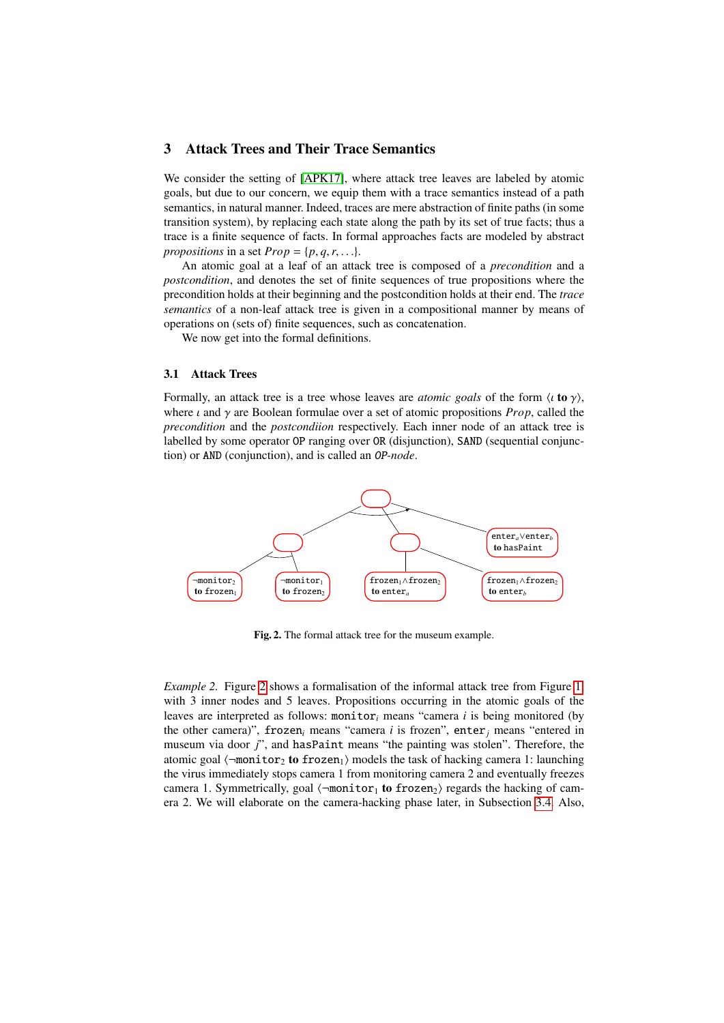## <span id="page-4-0"></span>3 Attack Trees and Their Trace Semantics

We consider the setting of [\[APK17\]](#page-18-5), where attack tree leaves are labeled by atomic goals, but due to our concern, we equip them with a trace semantics instead of a path semantics, in natural manner. Indeed, traces are mere abstraction of finite paths (in some transition system), by replacing each state along the path by its set of true facts; thus a trace is a finite sequence of facts. In formal approaches facts are modeled by abstract *propositions* in a set  $Prop = \{p, q, r, \ldots\}.$ 

An atomic goal at a leaf of an attack tree is composed of a *precondition* and a *postcondition*, and denotes the set of finite sequences of true propositions where the precondition holds at their beginning and the postcondition holds at their end. The *trace semantics* of a non-leaf attack tree is given in a compositional manner by means of operations on (sets of) finite sequences, such as concatenation.

We now get into the formal definitions.

#### 3.1 Attack Trees

Formally, an attack tree is a tree whose leaves are *atomic goals* of the form  $\langle \iota \mathbf{to} \gamma \rangle$ , where  $\iota$  and  $\gamma$  are Boolean formulae over a set of atomic propositions *Prop*, called the *precondition* and the *postcondiion* respectively. Each inner node of an attack tree is labelled by some operator OP ranging over OR (disjunction), SAND (sequential conjunction) or AND (conjunction), and is called an OP*-node*.



Fig. 2. The formal attack tree for the museum example.

<span id="page-4-1"></span>*Example [2](#page-4-1).* Figure 2 shows a formalisation of the informal attack tree from Figure [1,](#page-1-0) with 3 inner nodes and 5 leaves. Propositions occurring in the atomic goals of the leaves are interpreted as follows: monitor*<sup>i</sup>* means "camera *i* is being monitored (by the other camera)", frozen<sub>i</sub> means "camera *i* is frozen", enter<sub>*j*</sub> means "entered in museum via door *j*", and hasPaint means "the painting was stolen". Therefore, the atomic goal  $\langle \neg$ monitor<sub>2</sub> to frozen<sub>1</sub>) models the task of hacking camera 1: launching the virus immediately stops camera 1 from monitoring camera 2 and eventually freezes camera 1. Symmetrically, goal  $\langle \neg \text{monitor}_1 \text{ to frozen}_2 \rangle$  regards the hacking of camera 2. We will elaborate on the camera-hacking phase later, in Subsection [3.4.](#page-6-0) Also,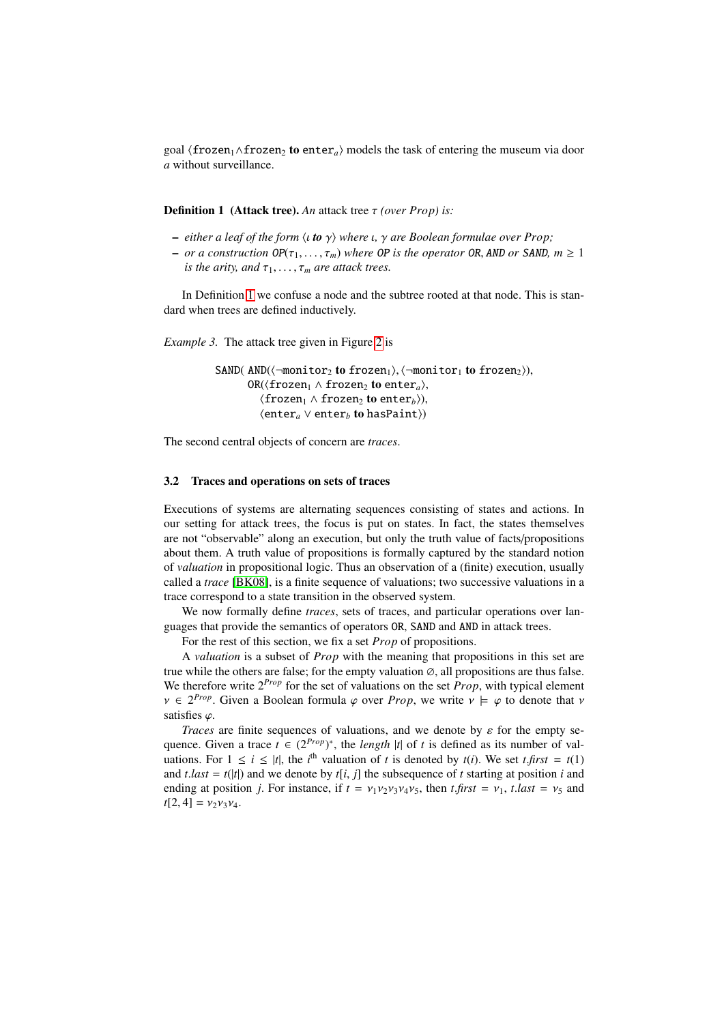goal  $\langle$  frozen<sub>1</sub>∧frozen<sub>2</sub> to enter<sub>a</sub> $\rangle$  models the task of entering the museum via door *a* without surveillance.

<span id="page-5-0"></span>Definition 1 (Attack tree). *An* attack tree τ *(over Prop) is:*

- $-$  *either a leaf of the form*  $\langle$ *i* **to**  $\gamma$ *)* where  $\iota$ *,*  $\gamma$  *are Boolean formulae over Prop*;
- $-$  *or a construction*  $OP(\tau_1, \ldots, \tau_m)$  *where OP is the operator OR, AND or SAND, m*  $\geq 1$ *is the arity, and*  $\tau_1, \ldots, \tau_m$  *are attack trees.*

In Definition [1](#page-5-0) we confuse a node and the subtree rooted at that node. This is standard when trees are defined inductively.

<span id="page-5-2"></span>*Example 3.* The attack tree given in Figure [2](#page-4-1) is

```
SAND( AND(\langle \neg monitor_2 \text{ to frozen}_1 \rangle, \langle \neg monitor_1 \text{ to frozen}_2 \rangle),OR(\langlefrozen<sub>1</sub> \land frozen<sub>2</sub> to enter<sub>a</sub>),
           hfrozen1 ∧ frozen2 to enterbi),
           \langle enter<sub>a</sub> ∨ enter<sub>b</sub> to hasPaint</sub>))
```
The second central objects of concern are *traces*.

#### 3.2 Traces and operations on sets of traces

Executions of systems are alternating sequences consisting of states and actions. In our setting for attack trees, the focus is put on states. In fact, the states themselves are not "observable" along an execution, but only the truth value of facts/propositions about them. A truth value of propositions is formally captured by the standard notion of *valuation* in propositional logic. Thus an observation of a (finite) execution, usually called a *trace* [\[BK08\]](#page-18-12), is a finite sequence of valuations; two successive valuations in a trace correspond to a state transition in the observed system.

We now formally define *traces*, sets of traces, and particular operations over languages that provide the semantics of operators OR, SAND and AND in attack trees.

For the rest of this section, we fix a set *Prop* of propositions.

A *valuation* is a subset of *Prop* with the meaning that propositions in this set are true while the others are false; for the empty valuation  $\varnothing$ , all propositions are thus false. We therefore write 2*Prop* for the set of valuations on the set *Prop*, with typical element  $\nu \in 2^{Prop}$ . Given a Boolean formula  $\varphi$  over *Prop*, we write  $\nu \models \varphi$  to denote that  $\nu$ satisfies  $\varphi$ .

<span id="page-5-1"></span>*Traces* are finite sequences of valuations, and we denote by  $\varepsilon$  for the empty sequence. Given a trace  $t \in (2^{Prop})^*$ , the *length* |*t*| of *t* is defined as its number of valuations. For  $1 \le i \le |t|$ , the *i*<sup>th</sup> valuation of *t* is denoted by *t*(*i*). We set *t*.*first* = *t*(1) and *t* last – *t*(*t*) and we denote by *t*[*i*</sup> *i*] the subsequence of *t* starting at position *i* and and  $t$ .*last* =  $t(|t|)$  and we denote by  $t[i, j]$  the subsequence of  $t$  starting at position  $i$  and ending at position *j*. For instance, if  $t = v_1v_2v_3v_4v_5$ , then  $t$ , *first* =  $v_1$ ,  $t$ , *tast* =  $v_5$  and  $t[2, 4] = v_2v_3v_4.$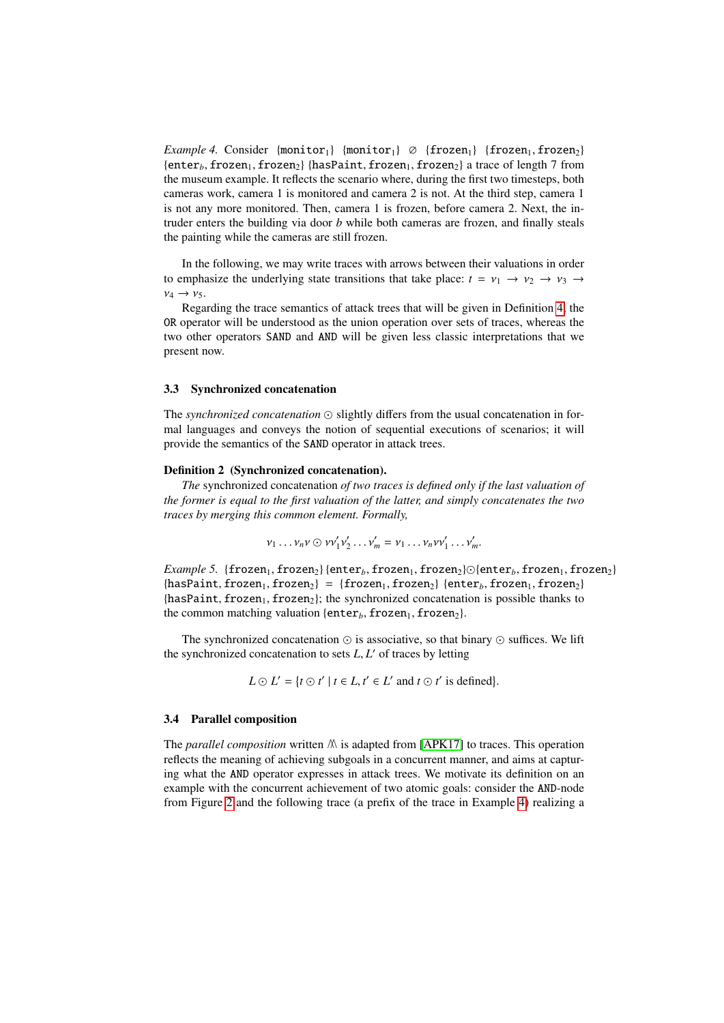*Example 4.* Consider  ${monitor_1}$   ${monitor_1}$   $\varnothing$   ${frozen_1}$   ${frozen_1, frozen_2}$ {enter<sub>b</sub>, frozen<sub>1</sub>, frozen<sub>2</sub>} {hasPaint, frozen<sub>1</sub>, frozen<sub>2</sub>} a trace of length 7 from the museum example. It reflects the scenario where, during the first two timesteps, both cameras work, camera 1 is monitored and camera 2 is not. At the third step, camera 1 is not any more monitored. Then, camera 1 is frozen, before camera 2. Next, the intruder enters the building via door *b* while both cameras are frozen, and finally steals the painting while the cameras are still frozen.

In the following, we may write traces with arrows between their valuations in order to emphasize the underlying state transitions that take place:  $t = v_1 \rightarrow v_2 \rightarrow v_3 \rightarrow v_4$  $v_4 \rightarrow v_5$ .

Regarding the trace semantics of attack trees that will be given in Definition [4,](#page-8-0) the OR operator will be understood as the union operation over sets of traces, whereas the two other operators SAND and AND will be given less classic interpretations that we present now.

## 3.3 Synchronized concatenation

The *synchronized concatenation*  $\odot$  slightly differs from the usual concatenation in formal languages and conveys the notion of sequential executions of scenarios; it will provide the semantics of the SAND operator in attack trees.

### Definition 2 (Synchronized concatenation).

*The* synchronized concatenation *of two traces is defined only if the last valuation of the former is equal to the first valuation of the latter, and simply concatenates the two traces by merging this common element. Formally,*

$$
v_1 \dots v_n v \odot v v_1' v_2' \dots v_m' = v_1 \dots v_n v v_1' \dots v_m'.
$$

*Example 5.* {frozen<sub>1</sub>, frozen<sub>2</sub>} {enter<sub>*b*</sub>, frozen<sub>2</sub>},  $\odot$  {enter<sub>*b*</sub>, frozen<sub>1</sub>, frozen<sub>2</sub>}  ${\text{hasPair}},$  frozen<sub>1</sub>, frozen<sub>2</sub>} = {frozen<sub>1</sub>, frozen<sub>2</sub>} {enter<sub>b</sub>, frozen<sub>1</sub>, frozen<sub>2</sub>}  ${\text{hasPair}},$  frozen<sub>1</sub>, frozen<sub>2</sub>}; the synchronized concatenation is possible thanks to the common matching valuation { $\epsilon_n$ , frozen<sub>1</sub>, frozen<sub>2</sub>}.

The synchronized concatenation  $\odot$  is associative, so that binary  $\odot$  suffices. We lift the synchronized concatenation to sets *L*, *L'* of traces by letting

$$
L \odot L' = \{t \odot t' \mid t \in L, t' \in L' \text{ and } t \odot t' \text{ is defined}\}.
$$

#### <span id="page-6-0"></span>3.4 Parallel composition

The *parallel composition* written  $M$  is adapted from [\[APK17\]](#page-18-5) to traces. This operation reflects the meaning of achieving subgoals in a concurrent manner, and aims at capturing what the AND operator expresses in attack trees. We motivate its definition on an example with the concurrent achievement of two atomic goals: consider the AND-node from Figure [2](#page-4-1) and the following trace (a prefix of the trace in Example [4\)](#page-5-1) realizing a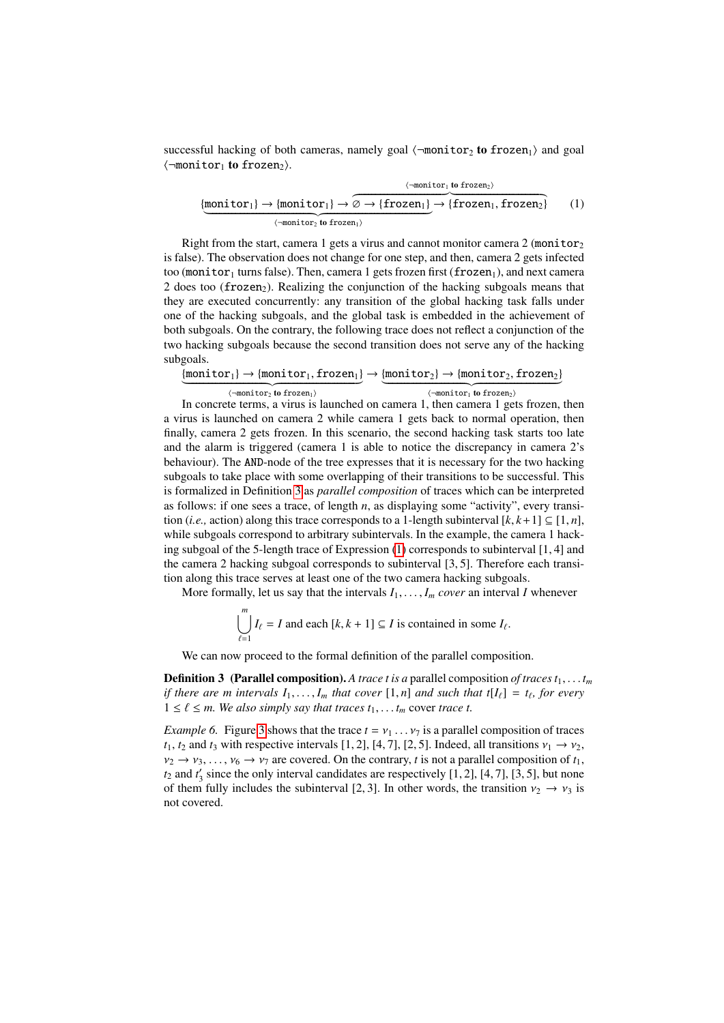successful hacking of both cameras, namely goal  $\langle \neg \text{monitor}_2 \text{ to frozen}_1 \rangle$  and goal  $\langle \neg$ monitor<sub>1</sub> to frozen<sub>2</sub>).

<span id="page-7-1"></span>
$$
\underbrace{\{\text{monitor}_1\} \to \{\text{monitor}_1\} \to \overbrace{\emptyset \to \{\text{frozen}_1\}}^{\langle \text{-monitor}_1 \text{ to frozen}_2 \rangle} \to \{\text{frozen}_1, \text{frozen}_2\}}_{\langle \text{-monitor}_2 \text{ to frozen}_1 \rangle} \qquad (1)
$$

Right from the start, camera 1 gets a virus and cannot monitor camera 2 (monitor<sub>2</sub>) is false). The observation does not change for one step, and then, camera 2 gets infected too (monitor<sub>1</sub> turns false). Then, camera 1 gets frozen first (frozen<sub>1</sub>), and next camera 2 does too (frozen<sub>2</sub>). Realizing the conjunction of the hacking subgoals means that they are executed concurrently: any transition of the global hacking task falls under one of the hacking subgoals, and the global task is embedded in the achievement of both subgoals. On the contrary, the following trace does not reflect a conjunction of the two hacking subgoals because the second transition does not serve any of the hacking subgoals.

|                                                     | $\{$ monitor <sub>1</sub> $\} \rightarrow \{$ monitor <sub>1</sub> , frozen <sub>1</sub> $\} \rightarrow \{$ monitor <sub>2</sub> $\} \rightarrow \{$ monitor <sub>2</sub> , frozen <sub>2</sub> $\}$ |
|-----------------------------------------------------|-------------------------------------------------------------------------------------------------------------------------------------------------------------------------------------------------------|
|                                                     |                                                                                                                                                                                                       |
| $\langle \lnot$ monitor $\lnot$ to frozen $\lnot$ ) | $\langle \neg \text{monitor}_1 \text{ to frozen}_2 \rangle$                                                                                                                                           |

In concrete terms, a virus is launched on camera 1, then camera 1 gets frozen, then a virus is launched on camera 2 while camera 1 gets back to normal operation, then finally, camera 2 gets frozen. In this scenario, the second hacking task starts too late and the alarm is triggered (camera 1 is able to notice the discrepancy in camera 2's behaviour). The AND-node of the tree expresses that it is necessary for the two hacking subgoals to take place with some overlapping of their transitions to be successful. This is formalized in Definition [3](#page-7-0) as *parallel composition* of traces which can be interpreted as follows: if one sees a trace, of length *n*, as displaying some "activity", every transition (*i.e.*, action) along this trace corresponds to a 1-length subinterval  $[k, k+1] \subseteq [1, n]$ , while subgoals correspond to arbitrary subintervals. In the example, the camera 1 hacking subgoal of the 5-length trace of Expression [\(1\)](#page-7-1) corresponds to subinterval [1, 4] and the camera 2 hacking subgoal corresponds to subinterval [3, 5]. Therefore each transition along this trace serves at least one of the two camera hacking subgoals.

More formally, let us say that the intervals  $I_1, \ldots, I_m$  *cover* an interval *I* whenever

$$
\bigcup_{\ell=1}^{m} I_{\ell} = I \text{ and each } [k, k+1] \subseteq I \text{ is contained in some } I_{\ell}.
$$

We can now proceed to the formal definition of the parallel composition.

<span id="page-7-0"></span>**Definition 3** (Parallel composition). A trace t is a parallel composition of traces  $t_1, \ldots, t_m$ *if there are m intervals*  $I_1, \ldots, I_m$  *that cover*  $[1, n]$  *and such that*  $t[I_\ell] = t_\ell$ , for every<br> $1 \le \ell \le m$  We also simply say that traces ty the cover trace t  $1 ≤ ℓ ≤ m.$  We also simply say that traces  $t_1, \ldots, t_m$  cover trace t.

*Example 6.* Figure [3](#page-8-1) shows that the trace  $t = v_1 \dots v_7$  is a parallel composition of traces  $t_1$ ,  $t_2$  and  $t_3$  with respective intervals [1, 2], [4, 7], [2, 5]. Indeed, all transitions  $v_1 \rightarrow v_2$ ,  $v_2 \rightarrow v_3, \ldots, v_6 \rightarrow v_7$  are covered. On the contrary, *t* is not a parallel composition of  $t_1$ ,  $t_2$  and  $t'_3$  since the only interval candidates are respectively [1, 2], [4, 7], [3, 5], but none<br>of them fully includes the subinterval [2, 3]. In other words, the transition  $y_2 \rightarrow y_3$  is of them fully includes the subinterval [2, 3]. In other words, the transition  $v_2 \rightarrow v_3$  is not covered.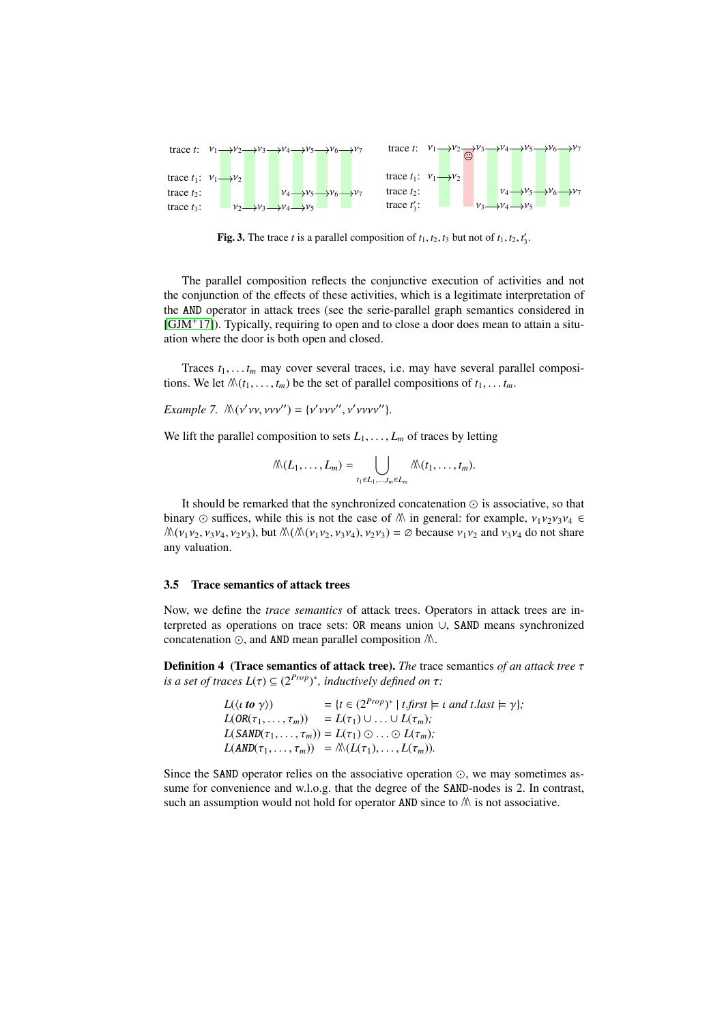

<span id="page-8-1"></span>**Fig. 3.** The trace *t* is a parallel composition of  $t_1$ ,  $t_2$ ,  $t_3$  but not of  $t_1$ ,  $t_2$ ,  $t'_3$ .

The parallel composition reflects the conjunctive execution of activities and not the conjunction of the effects of these activities, which is a legitimate interpretation of the AND operator in attack trees (see the serie-parallel graph semantics considered in [\[GJM](#page-18-4)<sup>+</sup>17]). Typically, requiring to open and to close a door does mean to attain a situation where the door is both open and closed.

Traces  $t_1, \ldots, t_m$  may cover several traces, i.e. may have several parallel compositions. We let  $\mathcal{M}(t_1, \ldots, t_m)$  be the set of parallel compositions of  $t_1, \ldots, t_m$ .

*Example 7.*  $\mathcal{N}(v'vv, vv'') = \{v'vvv'', v'vvvv''\}.$ 

We lift the parallel composition to sets  $L_1, \ldots, L_m$  of traces by letting

$$
\mathcal{N}(L_1,\ldots,L_m)=\bigcup_{t_1\in L_1,\ldots,t_m\in L_m}\mathcal{N}(t_1,\ldots,t_m).
$$

It should be remarked that the synchronized concatenation  $\odot$  is associative, so that binary  $\odot$  suffices, while this is not the case of  $\mathbb{A}$  in general: for example,  $v_1v_2v_3v_4 \in$  $\mathcal{M}(\nu_1\nu_2, \nu_3\nu_4, \nu_2\nu_3)$ , but  $\mathcal{M}(\mathcal{M}(\nu_1\nu_2, \nu_3\nu_4), \nu_2\nu_3) = \emptyset$  because  $\nu_1\nu_2$  and  $\nu_3\nu_4$  do not share any valuation.

### 3.5 Trace semantics of attack trees

Now, we define the *trace semantics* of attack trees. Operators in attack trees are interpreted as operations on trace sets: OR means union ∪, SAND means synchronized concatenation  $\odot$ , and AND mean parallel composition  $\mathbb{A}$ .

<span id="page-8-0"></span>Definition 4 (Trace semantics of attack tree). *The* trace semantics *of an attack tree* τ *is a set of traces*  $L(\tau) \subseteq (2^{Prop})^*$ *, inductively defined on*  $\tau$ *:* 

| $L(\langle t \text{ to } \gamma \rangle)$ | $= \{ t \in (2^{Prop})^* \mid t \text{, first} \models t \text{ and } t \text{. last} \models \gamma \};$ |
|-------------------------------------------|-----------------------------------------------------------------------------------------------------------|
|                                           | $L(OR(\tau_1,\ldots,\tau_m)) = L(\tau_1) \cup \ldots \cup L(\tau_m);$                                     |
|                                           | $L(SAND(\tau_1,\ldots,\tau_m)) = L(\tau_1) \odot \ldots \odot L(\tau_m);$                                 |
|                                           | $L(AND(\tau_1,\ldots,\tau_m)) = \mathcal{N}(L(\tau_1),\ldots,L(\tau_m)).$                                 |
|                                           |                                                                                                           |

Since the SAND operator relies on the associative operation  $\odot$ , we may sometimes assume for convenience and w.l.o.g. that the degree of the SAND-nodes is 2. In contrast, such an assumption would not hold for operator AND since to  $M$  is not associative.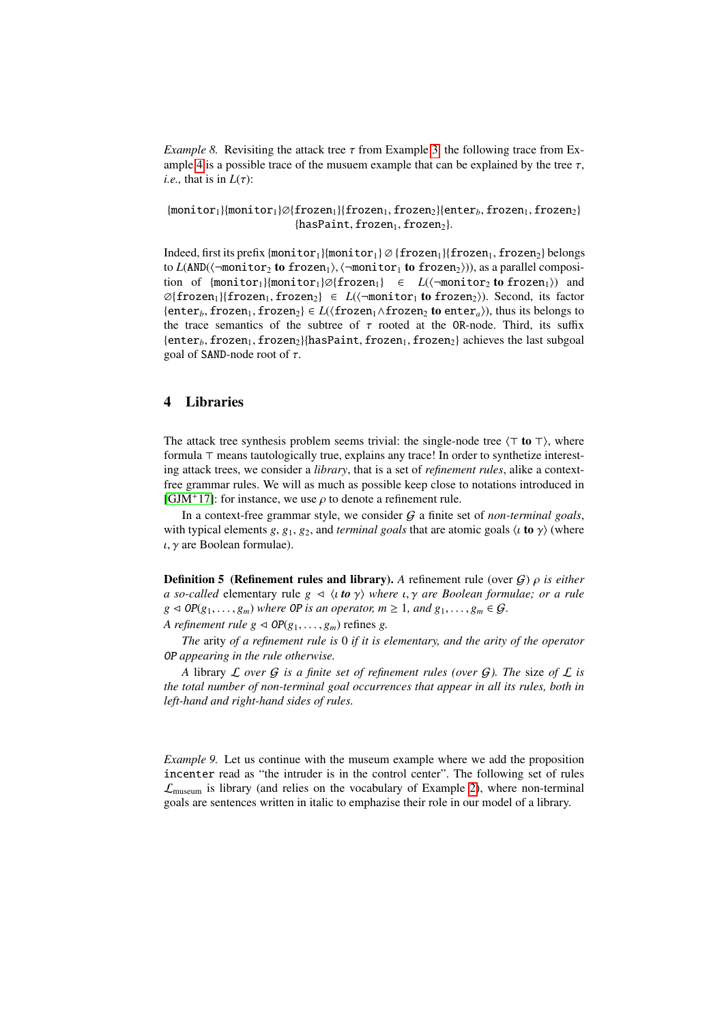*Example 8.* Revisiting the attack tree  $\tau$  from Example [3,](#page-5-2) the following trace from Ex-ample [4](#page-5-1) is a possible trace of the musuem example that can be explained by the tree  $\tau$ , *i.e.*, that is in  $L(\tau)$ :

{monitor<sub>1</sub>}{monitor<sub>1</sub>}∅{frozen<sub>1</sub>}{frozen<sub>1</sub>, frozen<sub>2</sub>}{enter<sub>*b*</sub>, frozen<sub>1</sub>, frozen<sub>2</sub>}  ${hasPoint, frozen<sub>1</sub>, frozen<sub>2</sub>}.$ 

Indeed, first its prefix {monitor<sub>1</sub>}{monitor<sub>1</sub>} Ø {frozen<sub>1</sub>}{frozen<sub>1</sub>, frozen<sub>2</sub>} belongs to *L*(AND( $\langle \neg$ monitor<sub>2</sub> to frozen<sub>1</sub>),  $\langle \neg$ monitor<sub>1</sub> to frozen<sub>2</sub>))), as a parallel composition of  ${monitor_1}{\text{monitor}_1}{\emptyset}$  frozen<sub>1</sub>}  $\in L(\text{-monitor}_2 \text{ to frozen}_1)$  and  $\mathcal{O}\{\text{frozen}_1\}\{\text{frozen}_1,\text{frozen}_2\} \in L(\langle \text{-monitor}_1 \text{ to frozen}_2\rangle).$  Second, its factor {enter<sub>b</sub>, frozen<sub>1</sub>, frozen<sub>2</sub>}  $\in$  *L*( $\langle$ frozen<sub>1</sub> $\wedge$ frozen<sub>2</sub> to enter<sub>a</sub>)), thus its belongs to the trace semantics of the subtree of  $\tau$  rooted at the OR-node. Third, its suffix  $\{\text{enter}_b, \text{frozen}_1, \text{frozen}_2\}$ {hasPaint, frozen<sub>1</sub>, frozen<sub>2</sub>} achieves the last subgoal goal of SAND-node root of  $\tau$ .

## <span id="page-9-0"></span>4 Libraries

The attack tree synthesis problem seems trivial: the single-node tree  $\langle \tau \mathbf{to} \tau \rangle$ , where formula  $\top$  means tautologically true, explains any trace! In order to synthetize interesting attack trees, we consider a *library*, that is a set of *refinement rules*, alike a contextfree grammar rules. We will as much as possible keep close to notations introduced in [\[GJM](#page-18-4)<sup>+</sup>17]: for instance, we use  $\rho$  to denote a refinement rule.

In a context-free grammar style, we consider G a finite set of *non-terminal goals*, with typical elements *g*, *g*<sub>1</sub>, *g*<sub>2</sub>, and *terminal goals* that are atomic goals  $\langle \iota \mathbf{to} \gamma \rangle$  (where  $\iota$ ,  $\gamma$  are Boolean formulae).

<span id="page-9-2"></span>Definition 5 (Refinement rules and library). *<sup>A</sup>* refinement rule (over <sup>G</sup>) ρ *is either a so-called* elementary rule  $g \triangleleft \langle u \, \mathbf{to} \, \gamma \rangle$  *where*  $u, \gamma$  *are Boolean formulae; or a rule*  $g \triangleleft OP(g_1, \ldots, g_m)$  *where OP is an operator,*  $m \geq 1$ *, and*  $g_1, \ldots, g_m \in \mathcal{G}$ .

*A refinement rule g*  $\triangleleft OP(g_1, \ldots, g_m)$  refines *g*.

*The* arity *of a refinement rule is* 0 *if it is elementary, and the arity of the operator* OP *appearing in the rule otherwise.*

*A* library L *over* G *is a finite set of refinement rules (over* G*). The* size *of* L *is the total number of non-terminal goal occurrences that appear in all its rules, both in left-hand and right-hand sides of rules.*

<span id="page-9-1"></span>*Example 9.* Let us continue with the museum example where we add the proposition incenter read as "the intruder is in the control center". The following set of rules  $\mathcal{L}_{\text{museum}}$  is library (and relies on the vocabulary of Example [2\)](#page-4-1), where non-terminal goals are sentences written in italic to emphazise their role in our model of a library.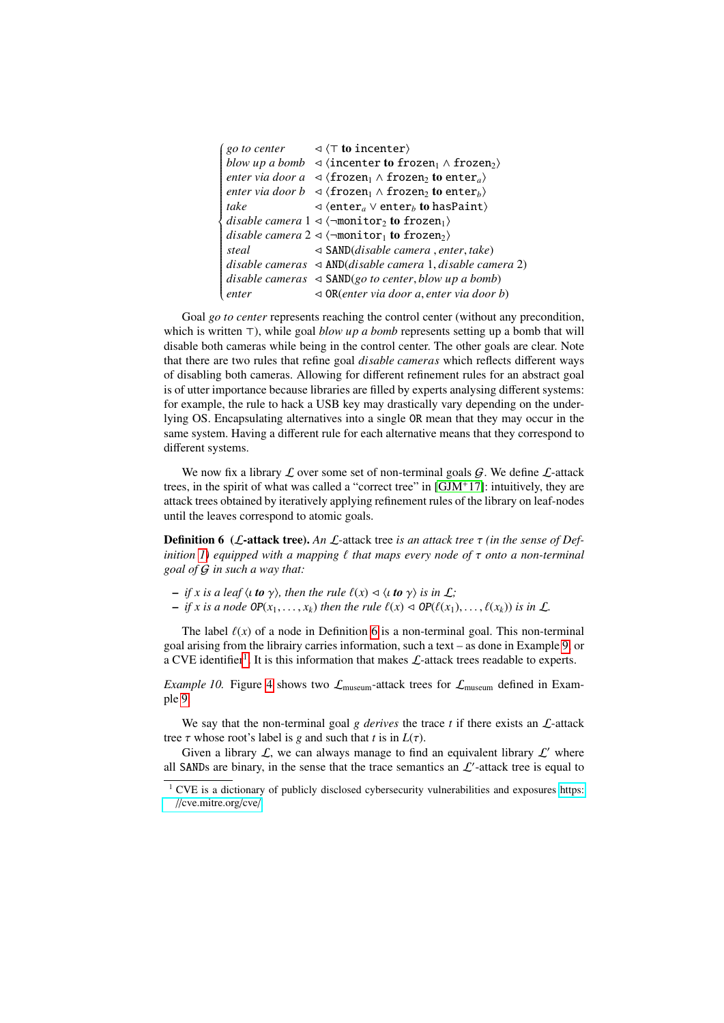|       | <i>go to center</i> $\lnot$ $\lnot$ <b>to incenter</b> )                                                 |
|-------|----------------------------------------------------------------------------------------------------------|
|       | blow up a bomb $\prec$ (incenter to frozen <sub>1</sub> $\land$ frozen <sub>2</sub> )                    |
|       | <i>enter via door a</i> $\prec$ {frozen <sub>1</sub> $\land$ frozen <sub>2</sub> to enter <sub>a</sub> } |
|       | <i>enter via door b</i> $\prec$ (frozen <sub>1</sub> $\land$ frozen <sub>2</sub> to enter <sub>h</sub> ) |
| take  | $\triangleleft$ (enter <sub>a</sub> $\vee$ enter <sub>b</sub> to hasPaint)                               |
|       | disable camera $1 \triangleleft \langle \neg \text{monitor}_2 \text{ to frozen}_1 \rangle$               |
|       | disable camera $2 \triangleleft \langle \neg \text{monitor}_1 \text{ to frozen}_2 \rangle$               |
| steal | $\triangleleft$ SAND( <i>disable camera</i> , <i>enter</i> , <i>take</i> )                               |
|       | disable cameras $\triangleleft$ AND(disable camera 1, disable camera 2)                                  |
|       | disable cameras $\triangleleft$ SAND(go to center, blow up a bomb)                                       |
| enter | $\triangleleft$ OR(enter via door a, enter via door b)                                                   |
|       |                                                                                                          |

Goal *go to center* represents reaching the control center (without any precondition, which is written  $\top$ ), while goal *blow up a bomb* represents setting up a bomb that will disable both cameras while being in the control center. The other goals are clear. Note that there are two rules that refine goal *disable cameras* which reflects different ways of disabling both cameras. Allowing for different refinement rules for an abstract goal is of utter importance because libraries are filled by experts analysing different systems: for example, the rule to hack a USB key may drastically vary depending on the underlying OS. Encapsulating alternatives into a single OR mean that they may occur in the same system. Having a different rule for each alternative means that they correspond to different systems.

We now fix a library  $\mathcal L$  over some set of non-terminal goals  $\mathcal G$ . We define  $\mathcal L$ -attack trees, in the spirit of what was called a "correct tree" in  $[GJM^+17]$  $[GJM^+17]$ : intuitively, they are attack trees obtained by iteratively applying refinement rules of the library on leaf-nodes until the leaves correspond to atomic goals.

<span id="page-10-0"></span>Definition 6 (L-attack tree). *An* <sup>L</sup>-attack tree *is an attack tree* τ *(in the sense of Definition 1*) equipped with a mapping  $\ell$  that maps every node of  $\tau$  onto a non-terminal *goal of* G *in such a way that:*

- $-$  *if x is a leaf*  $\langle \iota \mathbf{to} \gamma \rangle$ *, then the rule*  $\ell(x) \triangleleft \langle \iota \mathbf{to} \gamma \rangle$  *is in*  $\mathcal{L}$ ;
- $-$  *if x is a node*  $OP(x_1, \ldots, x_k)$  *then the rule*  $\ell(x) \triangleleft OP(\ell(x_1), \ldots, \ell(x_k))$  *is in*  $\mathcal{L}$ *.*

The label  $\ell(x)$  of a node in Definition [6](#page-10-0) is a non-terminal goal. This non-terminal goal arising from the librairy carries information, such a text – as done in Example [9,](#page-9-1) or a CVE identifier<sup>[1](#page-10-1)</sup>. It is this information that makes  $\mathcal{L}$ -attack trees readable to experts.

*Example 10.* Figure [4](#page-11-0) shows two  $\mathcal{L}_{museum}$ -attack trees for  $\mathcal{L}_{museum}$  defined in Example [9.](#page-9-1)

We say that the non-terminal goal  $g$  derives the trace  $t$  if there exists an  $\mathcal{L}$ -attack tree  $\tau$  whose root's label is *g* and such that *t* is in  $L(\tau)$ .

Given a library  $\mathcal{L}$ , we can always manage to find an equivalent library  $\mathcal{L}'$  where all SANDs are binary, in the sense that the trace semantics an  $\mathcal{L}'$ -attack tree is equal to

<span id="page-10-1"></span><sup>&</sup>lt;sup>1</sup> CVE is a dictionary of publicly disclosed cybersecurity vulnerabilities and exposures [https:](https://cve.mitre.org/cve/) //[cve.mitre.org](https://cve.mitre.org/cve/)/cve/.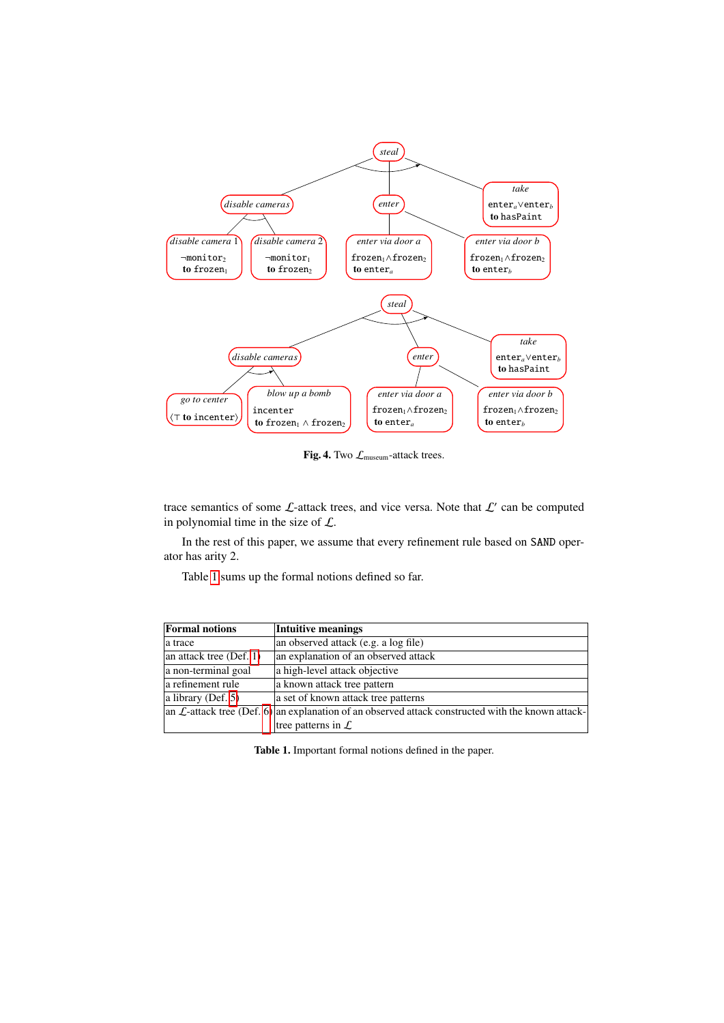

<span id="page-11-0"></span>Fig. 4. Two  $\mathcal{L}_{\text{museum}}$ -attack trees.

trace semantics of some  $\mathcal{L}$ -attack trees, and vice versa. Note that  $\mathcal{L}'$  can be computed in polynomial time in the size of  $\mathcal{L}$ .

In the rest of this paper, we assume that every refinement rule based on SAND operator has arity 2.

Table [1](#page-11-1) sums up the formal notions defined so far.

| <b>Formal notions</b>   | Intuitive meanings                                                                                             |
|-------------------------|----------------------------------------------------------------------------------------------------------------|
| la trace                | an observed attack (e.g. a log file)                                                                           |
| an attack tree (Def. 1) | an explanation of an observed attack                                                                           |
| a non-terminal goal     | a high-level attack objective                                                                                  |
| a refinement rule       | a known attack tree pattern                                                                                    |
| a library (Def. $5$ )   | a set of known attack tree patterns                                                                            |
|                         | an $\mathcal{L}$ -attack tree (Def. 6) an explanation of an observed attack constructed with the known attack- |
|                         | tree patterns in $\mathcal{L}$                                                                                 |

<span id="page-11-1"></span>Table 1. Important formal notions defined in the paper.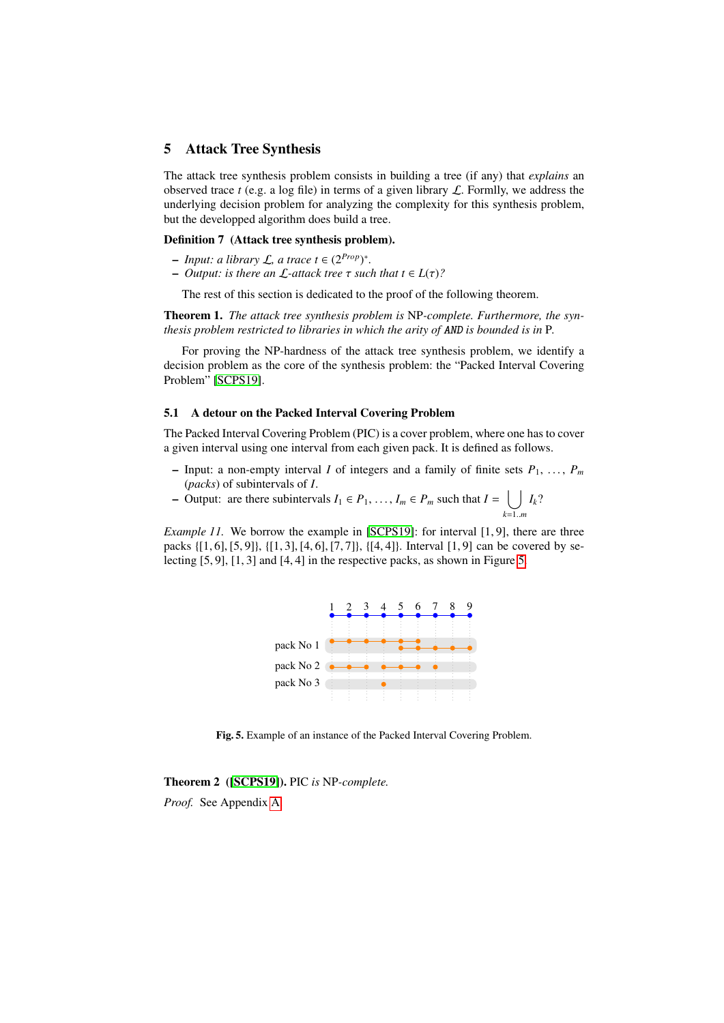### <span id="page-12-0"></span>5 Attack Tree Synthesis

The attack tree synthesis problem consists in building a tree (if any) that *explains* an observed trace  $t$  (e.g. a log file) in terms of a given library  $\mathcal{L}$ . Formlly, we address the underlying decision problem for analyzing the complexity for this synthesis problem, but the developped algorithm does build a tree.

### Definition 7 (Attack tree synthesis problem).

- *Input: a library* L*, a trace t* ∈ (2*Prop*) ∗ *.*
- *Output: is there an* <sup>L</sup>*-attack tree* τ *such that t* <sup>∈</sup> *<sup>L</sup>*(τ)*?*

The rest of this section is dedicated to the proof of the following theorem.

<span id="page-12-3"></span>Theorem 1. *The attack tree synthesis problem is* NP*-complete. Furthermore, the synthesis problem restricted to libraries in which the arity of* AND *is bounded is in* P*.*

For proving the NP-hardness of the attack tree synthesis problem, we identify a decision problem as the core of the synthesis problem: the "Packed Interval Covering Problem" [\[SCPS19\]](#page-19-2).

#### 5.1 A detour on the Packed Interval Covering Problem

The Packed Interval Covering Problem (PIC) is a cover problem, where one has to cover a given interval using one interval from each given pack. It is defined as follows.

- Input: a non-empty interval *I* of integers and a family of finite sets  $P_1, \ldots, P_m$ (*packs*) of subintervals of *I*.
- Output: are there subintervals *I*<sup>1</sup> ∈ *P*1, . . . , *I<sup>m</sup>* ∈ *P<sup>m</sup>* such that *I* = [ *Ik*?

<span id="page-12-2"></span>*<sup>k</sup>*=1..*<sup>m</sup> Example 11.* We borrow the example in [\[SCPS19\]](#page-19-2): for interval [1,9], there are three packs {[1, 6], [5, 9]}, {[1, 3], [4, 6], [7, 7]}, {[4, 4]}. Interval [1, 9] can be covered by selecting [5, 9], [1, 3] and [4, 4] in the respective packs, as shown in Figure [5.](#page-12-1)



<span id="page-12-1"></span>Fig. 5. Example of an instance of the Packed Interval Covering Problem.

Theorem 2 ([\[SCPS19\]](#page-19-2)). PIC *is* NP*-complete.*

*Proof.* See Appendix [A.](#page-20-0)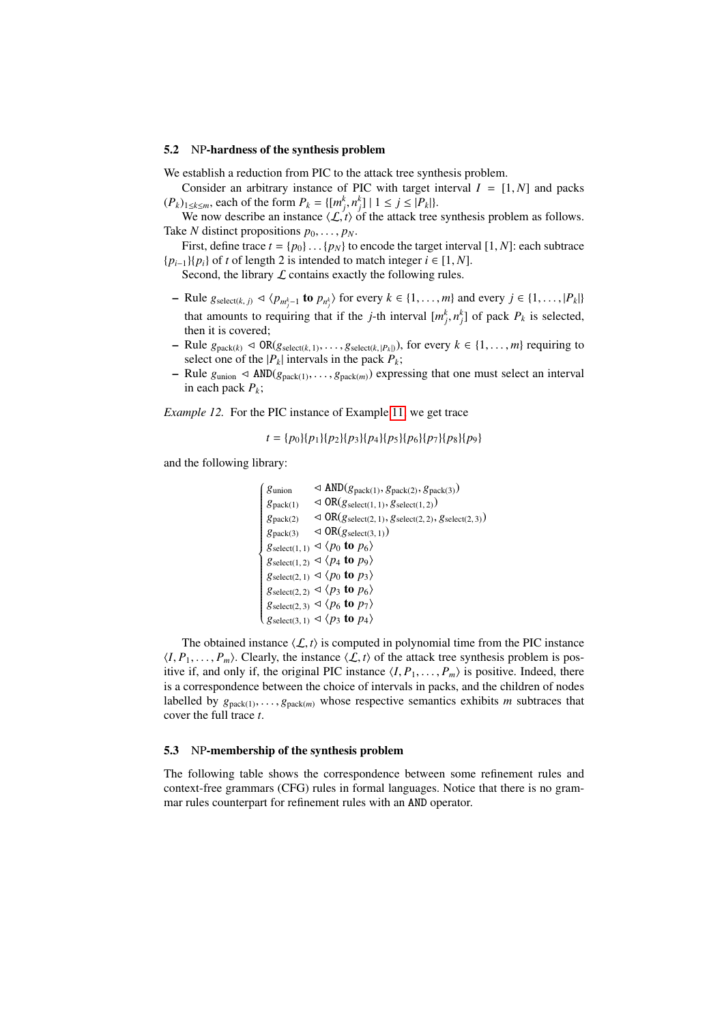#### 5.2 NP-hardness of the synthesis problem

We establish a reduction from PIC to the attack tree synthesis problem.

Consider an arbitrary instance of PIC with target interval  $I = [1, N]$  and packs  $(P_k)_{1\leq k\leq m}$ , each of the form  $P_k = \{ [m_j^k, n_j^k] \mid 1 \leq j \leq |P_k| \}.$ <br>We now describe an instance  $(P_k)$  of the attack tree

We now describe an instance  $\langle L, t \rangle$  of the attack tree synthesis problem as follows. Take *N* distinct propositions  $p_0, \ldots, p_N$ .

First, define trace  $t = \{p_0\} \dots \{p_N\}$  to encode the target interval  $[1, N]$ : each subtrace  ${p_{i-1}}{p_i}$  of *t* of length 2 is intended to match integer  $i \in [1, N]$ .

Second, the library  $\mathcal L$  contains exactly the following rules.

- $-$  Rule *g*<sub>select(*k*, *j*)  $\triangleleft$   $\langle p_{m_j^k-1}$  **to**  $p_{n_j^k}$  for every *k* ∈ {1, ..., *m*} and every *j* ∈ {1, ..., |*P<sub><i>k*</sub>|}</sub> and  $\langle p_{n_j^k-1}$  is  $p_{n_j^k-1}$  in  $p_{n_j^k-1}$  in  $p_{n_j^k-1}$ </sub> that amounts to requiring that if the *j*-th interval  $[m_j^k, n_j^k]$  of pack  $P_k$  is selected, then it is covered: then it is covered;
- $-$  Rule  $g_{\text{pack}(k)}$  ⊲ OR( $g_{\text{select}(k, 1)}, \ldots, g_{\text{select}(k, |P_k|)}$ ), for every  $k \in \{1, \ldots, m\}$  requiring to select one of the  $|P_k|$  intervals in the pack  $P_k$ ;
- Rule  $g_{\text{union}} \triangleleft \text{AND}(g_{\text{pack}(1)}, \ldots, g_{\text{pack}(m)})$  expressing that one must select an interval in each pack  $P_k$ ;

*Example 12.* For the PIC instance of Example [11,](#page-12-2) we get trace

```
t = {p_0}{p_1}{p_2}{p_3}{p_4}{p_5}{p_6}{p_7}{p_8}{p_9}
```
and the following library:

```
\sqrt{ }

gunion \triangle AND(g<sub>pack(1)</sub>, g<sub>pack(2)</sub>, g<sub>pack(3))</sub>
g_{\text{pack}(1)} \leq \text{OR}(g_{\text{select}(1, 1)}, g_{\text{select}(1, 2)})g_{\text{pack}}(2) \leq \text{OR}(g_{\text{select}}(2, 1), g_{\text{select}}(2, 2), g_{\text{select}}(2, 3))g_{\text{pack}(3)} \leq \text{OR}(g_{\text{select}(3, 1)})g_{\text{select}(1, 1)} \triangleleft \langle p_0 \text{ to } p_6 \rangleg_{\text{select}(1, 2)} \triangleleft \langle p_4 \text{ to } p_9 \rangleg_{\text{select}(2, 1)} \triangleleft \langle p_0 \text{ to } p_3 \rangleg_{\text{select}(2, 2)} \triangleleft \langle p_3 \text{ to } p_6 \rangleg_{\text{select}(2,3)} \triangleleft \langle p_6 \text{ to } p_7 \rangleg_{\text{select}(3, 1)} \triangleleft \langle p_3 \text{ to } p_4 \rangle
```
The obtained instance  $\langle \mathcal{L}, t \rangle$  is computed in polynomial time from the PIC instance  $\langle I, P_1, \ldots, P_m \rangle$ . Clearly, the instance  $\langle \mathcal{L}, t \rangle$  of the attack tree synthesis problem is positive if, and only if, the original PIC instance  $\langle I, P_1, \ldots, P_m \rangle$  is positive. Indeed, there is a correspondence between the choice of intervals in packs, and the children of nodes labelled by  $g_{\text{pack}(1)}, \ldots, g_{\text{pack}(m)}$  whose respective semantics exhibits *m* subtraces that cover the full trace *t*.

#### 5.3 NP-membership of the synthesis problem

The following table shows the correspondence between some refinement rules and context-free grammars (CFG) rules in formal languages. Notice that there is no grammar rules counterpart for refinement rules with an AND operator.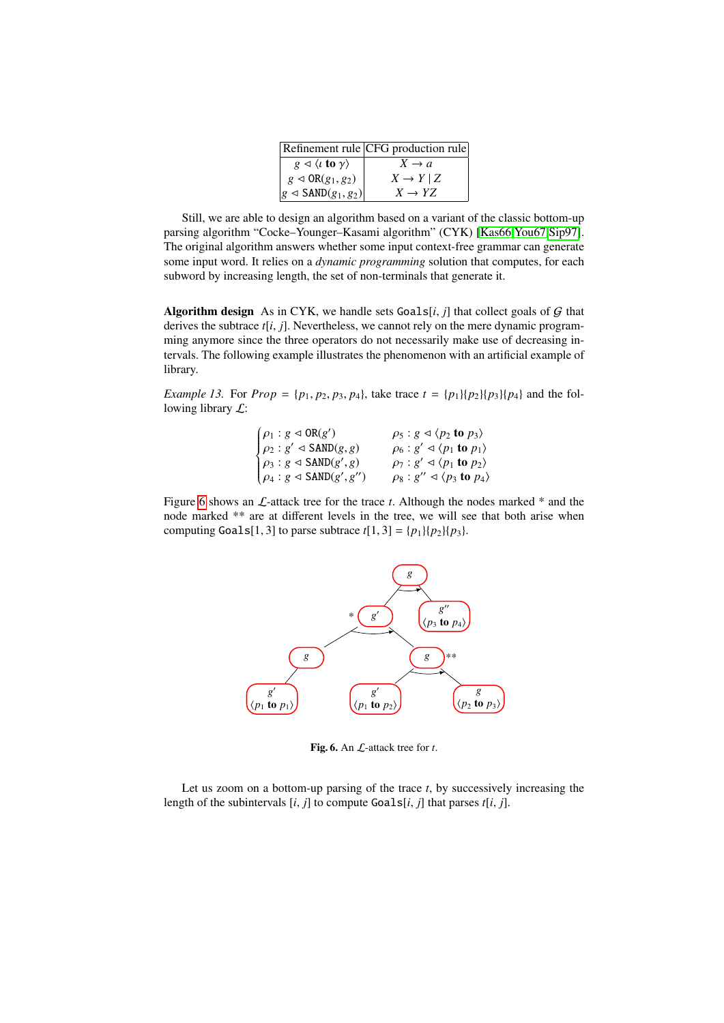|                                                        | Refinement rule CFG production rule |
|--------------------------------------------------------|-------------------------------------|
| $g \triangleleft \langle t \text{ to } \gamma \rangle$ | $X \rightarrow a$                   |
| $g \triangleleft \text{OR}(g_1, g_2)$                  | $X \to Y \mid Z$                    |
| $ g \triangleleft \text{SAND}(g_1, g_2) $              | $X \rightarrow YZ$                  |
|                                                        |                                     |

Still, we are able to design an algorithm based on a variant of the classic bottom-up parsing algorithm "Cocke–Younger–Kasami algorithm" (CYK) [\[Kas66,](#page-18-8)[You67,](#page-19-7)[Sip97\]](#page-19-8). The original algorithm answers whether some input context-free grammar can generate some input word. It relies on a *dynamic programming* solution that computes, for each subword by increasing length, the set of non-terminals that generate it.

Algorithm design As in CYK, we handle sets  $Goals[i, j]$  that collect goals of  $G$  that derives the subtrace *<sup>t</sup>*[*i*, *<sup>j</sup>*]. Nevertheless, we cannot rely on the mere dynamic programming anymore since the three operators do not necessarily make use of decreasing intervals. The following example illustrates the phenomenon with an artificial example of library.

*Example 13.* For  $Prop = \{p_1, p_2, p_3, p_4\}$ , take trace  $t = \{p_1\}\{p_2\}\{p_3\}\{p_4\}$  and the following library  $\mathcal{L}$ :

| $\begin{cases} \rho_1: g \triangleleft \textrm{OR}(g')\\ \rho_2: g' \triangleleft \textrm{SAND}(g,g)\\ \rho_3: g \triangleleft \textrm{SAND}(g',g)\\ \rho_4: g \triangleleft \textrm{SAND}(g',g'') \end{cases}$ | $\rho_5$ : $g \triangleleft \langle p_2 \text{ to } p_3 \rangle$                                                             |
|-----------------------------------------------------------------------------------------------------------------------------------------------------------------------------------------------------------------|------------------------------------------------------------------------------------------------------------------------------|
|                                                                                                                                                                                                                 | $\rho_6$ : $g' \triangleleft \langle p_1$ to $p_1 \rangle$<br>$\rho_7: g' \triangleleft \langle p_1 \text{ to } p_2 \rangle$ |
|                                                                                                                                                                                                                 | $\rho_8: g'' \triangleleft \langle p_3 \text{ to } p_4 \rangle$                                                              |

Figure [6](#page-14-0) shows an  $\mathcal{L}$ -attack tree for the trace *t*. Although the nodes marked  $*$  and the node marked \*\* are at different levels in the tree, we will see that both arise when computing Goals[1, 3] to parse subtrace  $t[1, 3] = {p_1}{p_2}{p_3}.$ 



Fig. 6. An L-attack tree for *t*.

<span id="page-14-0"></span>Let us zoom on a bottom-up parsing of the trace *t*, by successively increasing the length of the subintervals [*i*, *<sup>j</sup>*] to compute Goals[*i*, *<sup>j</sup>*] that parses *<sup>t</sup>*[*i*, *<sup>j</sup>*].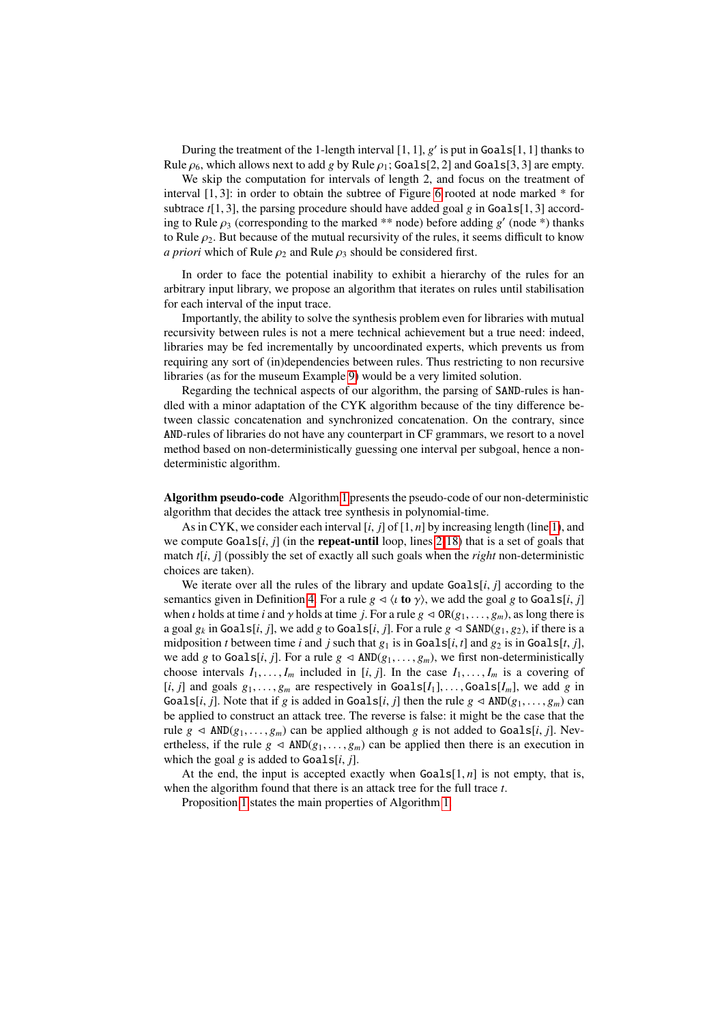During the treatment of the 1-length interval  $[1, 1]$ , *g'* is put in Goals $[1, 1]$  thanks to  $e \alpha$ , which allows next to add  $e$  by Rule  $\alpha$ ; Goals $[2, 2]$  and Goals $[3, 3]$  are empty Rule  $\rho_6$ , which allows next to add *g* by Rule  $\rho_1$ ; Goals[2, 2] and Goals[3, 3] are empty.

We skip the computation for intervals of length 2, and focus on the treatment of interval  $[1, 3]$ : in order to obtain the subtree of Figure [6](#page-14-0) rooted at node marked  $*$  for subtrace  $t[1, 3]$ , the parsing procedure should have added goal *g* in Goals[1, 3] according to Rule  $\rho_3$  (corresponding to the marked \*\* node) before adding *g'* (node \*) thanks to Rule  $\rho_2$ . But because of the mutual recursivity of the rules, it seems difficult to know *a priori* which of Rule  $\rho_2$  and Rule  $\rho_3$  should be considered first.

In order to face the potential inability to exhibit a hierarchy of the rules for an arbitrary input library, we propose an algorithm that iterates on rules until stabilisation for each interval of the input trace.

Importantly, the ability to solve the synthesis problem even for libraries with mutual recursivity between rules is not a mere technical achievement but a true need: indeed, libraries may be fed incrementally by uncoordinated experts, which prevents us from requiring any sort of (in)dependencies between rules. Thus restricting to non recursive libraries (as for the museum Example [9\)](#page-9-1) would be a very limited solution.

Regarding the technical aspects of our algorithm, the parsing of SAND-rules is handled with a minor adaptation of the CYK algorithm because of the tiny difference between classic concatenation and synchronized concatenation. On the contrary, since AND-rules of libraries do not have any counterpart in CF grammars, we resort to a novel method based on non-deterministically guessing one interval per subgoal, hence a nondeterministic algorithm.

Algorithm pseudo-code Algorithm [1](#page-16-0) presents the pseudo-code of our non-deterministic algorithm that decides the attack tree synthesis in polynomial-time.

As in CYK, we consider each interval  $[i, j]$  of  $[1, n]$  by increasing length (line [1\)](#page-16-0), and we compute  $Goals[i, j]$  (in the **repeat-until** loop, lines [2-18\)](#page-16-0) that is a set of goals that match *<sup>t</sup>*[*i*, *<sup>j</sup>*] (possibly the set of exactly all such goals when the *right* non-deterministic choices are taken).

We iterate over all the rules of the library and update Goals[*i*, *<sup>j</sup>*] according to the semantics given in Definition [4.](#page-8-0) For a rule  $g \triangleleft \langle \iota \mathbf{to} \gamma \rangle$ , we add the goal g to Goals[*i*, *j*] when *i* holds at time *i* and  $\gamma$  holds at time *j*. For a rule  $g \triangleleft OR(g_1, \ldots, g_m)$ , as long there is a goal  $g_k$  in Goals[*i*, *j*], we add *g* to Goals[*i*, *j*]. For a rule  $g \triangleleft$  SAND( $g_1, g_2$ ), if there is a midposition *t* between time *i* and *j* such that  $g_1$  is in Goals[*i*, *t*] and  $g_2$  is in Goals[*t*, *j*], we add *g* to Goals[*i*, *j*]. For a rule  $g \triangleleft AND(g_1, \ldots, g_m)$ , we first non-deterministically choose intervals  $I_1, \ldots, I_m$  included in [*i*, *j*]. In the case  $I_1, \ldots, I_m$  is a covering of  $[i, j]$  and goals  $g_1, \ldots, g_m$  are respectively in Goals $[I_1], \ldots,$  Goals $[I_m]$ , we add g in Goals[*i*, *j*]. Note that if *g* is added in Goals[*i*, *j*] then the rule  $g \triangleleft AND(g_1, \ldots, g_m)$  can be applied to construct an attack tree. The reverse is false: it might be the case that the rule  $g \triangleleft \text{AND}(g_1, \ldots, g_m)$  can be applied although  $g$  is not added to Goals[*i*, *j*]. Nevertheless, if the rule  $g \triangleleft AND(g_1, \ldots, g_m)$  can be applied then there is an execution in which the goal  $g$  is added to Goals[ $i$ ,  $j$ ].

At the end, the input is accepted exactly when  $Goals[1, n]$  is not empty, that is, when the algorithm found that there is an attack tree for the full trace *t*.

<span id="page-15-0"></span>Proposition [1](#page-15-0) states the main properties of Algorithm [1.](#page-16-0)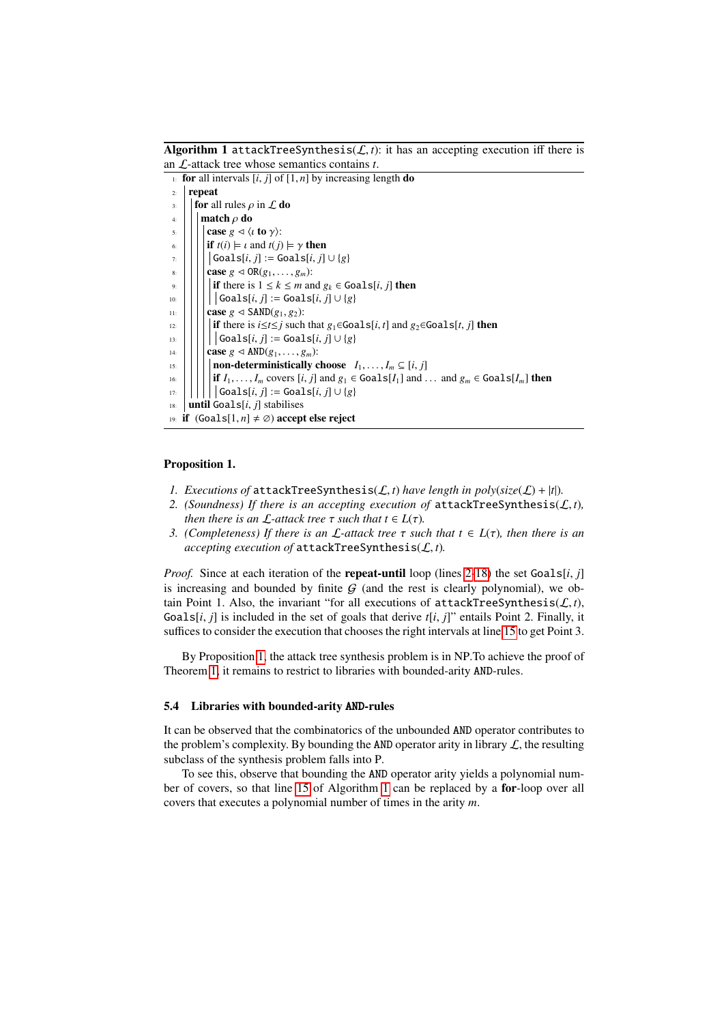Algorithm 1 attackTreeSynthesis( $\mathcal{L}, t$ ): it has an accepting execution iff there is an L-attack tree whose semantics contains *t*.

<span id="page-16-0"></span>

|                                                             | $\pm$ for all intervals [i, j] of [1, n] by increasing length <b>do</b>                                                 |  |
|-------------------------------------------------------------|-------------------------------------------------------------------------------------------------------------------------|--|
| 2:                                                          | repeat                                                                                                                  |  |
| 3:                                                          | <b>for</b> all rules $\rho$ in $\mathcal L$ <b>do</b>                                                                   |  |
| 4:                                                          | match $\rho$ do                                                                                                         |  |
| 5:                                                          | case $g \triangleleft \langle \iota \text{ to } \gamma \rangle$ :                                                       |  |
| 6:                                                          | <b>if</b> $t(i) \models \iota$ and $t(j) \models \gamma$ then                                                           |  |
| 7:                                                          | $\vert$ Goals $[i, j] :=$ Goals $[i, j] \cup \{g\}$                                                                     |  |
| 8:                                                          | case $g \triangleleft \text{OR}(g_1, \ldots, g_m)$ :                                                                    |  |
| 9:                                                          | <b>if</b> there is $1 \leq k \leq m$ and $g_k \in \text{Goals}[i, j]$ then                                              |  |
| 10:                                                         | $\vert$ Goals[i, i] := Goals[i, i] $\cup \{g\}$                                                                         |  |
| 11:                                                         | case $g \triangleleft$ SAND $(g_1, g_2)$ :                                                                              |  |
| 12:                                                         | <b>if</b> there is $i \le t \le j$ such that $g_1 \in \text{Goals}[i, t]$ and $g_2 \in \text{Goals}[t, j]$ then         |  |
| 13:                                                         | $\big\{\mathsf{Goals}[i, j] := \mathsf{Goals}[i, j] \cup \{g\}\big\}$                                                   |  |
| 14:                                                         | case $g \triangleleft \text{AND}(g_1, \ldots, g_m)$ :                                                                   |  |
| 15:                                                         | non-deterministically choose $I_1, \ldots, I_m \subseteq [i, j]$                                                        |  |
| 16:                                                         | if $I_1, \ldots, I_m$ covers $[i, j]$ and $g_1 \in \text{Goals}[I_1]$ and $\ldots$ and $g_m \in \text{Goals}[I_m]$ then |  |
| 17:                                                         | Goals[i, j] := Goals[i, j] $\cup$ {g}                                                                                   |  |
| <b>until</b> Goals[ <i>i</i> , <i>j</i> ] stabilises<br>18: |                                                                                                                         |  |
| 19: if $(Goals[1, n] \neq \emptyset)$ accept else reject    |                                                                                                                         |  |

## Proposition 1.

- <span id="page-16-2"></span>*1. Executions of* attackTreeSynthesis( $\mathcal{L}$ , *t*) have length in poly( $size(\mathcal{L}) + |t|$ ).
- 2. *(Soundness)* If there is an accepting execution of  $attackTreeSynthesis(L, t)$ , *then there is an*  $\mathcal{L}$ *-attack tree*  $\tau$  *such that*  $t \in L(\tau)$ *.*
- <span id="page-16-1"></span>*3. (Completeness)* If there is an  $\mathcal{L}$ -attack tree  $\tau$  *such that*  $t \in L(\tau)$ *, then there is an accepting execution of* attackTreeSynthesis(L, *<sup>t</sup>*)*.*

*Proof.* Since at each iteration of the **repeat-until** loop (lines [2-18\)](#page-16-0) the set Goals[*i*, *j*] is increasing and bounded by finite  $G$  (and the rest is clearly polynomial), we obtain Point 1. Also, the invariant "for all executions of  $attackTreeSynthesis(\mathcal{L}, t)$ , Goals $[i, j]$  is included in the set of goals that derive  $t[i, j]$ " entails Point 2. Finally, it suffices to consider the execution that chooses the right intervals at line [15](#page-16-0) to get Point 3.

By Proposition [1,](#page-15-0) the attack tree synthesis problem is in NP.To achieve the proof of Theorem [1,](#page-12-3) it remains to restrict to libraries with bounded-arity AND-rules.

#### 5.4 Libraries with bounded-arity AND-rules

It can be observed that the combinatorics of the unbounded AND operator contributes to the problem's complexity. By bounding the AND operator arity in library  $\mathcal{L}$ , the resulting subclass of the synthesis problem falls into P.

To see this, observe that bounding the AND operator arity yields a polynomial number of covers, so that line [15](#page-16-0) of Algorithm [1](#page-16-0) can be replaced by a for-loop over all covers that executes a polynomial number of times in the arity *m*.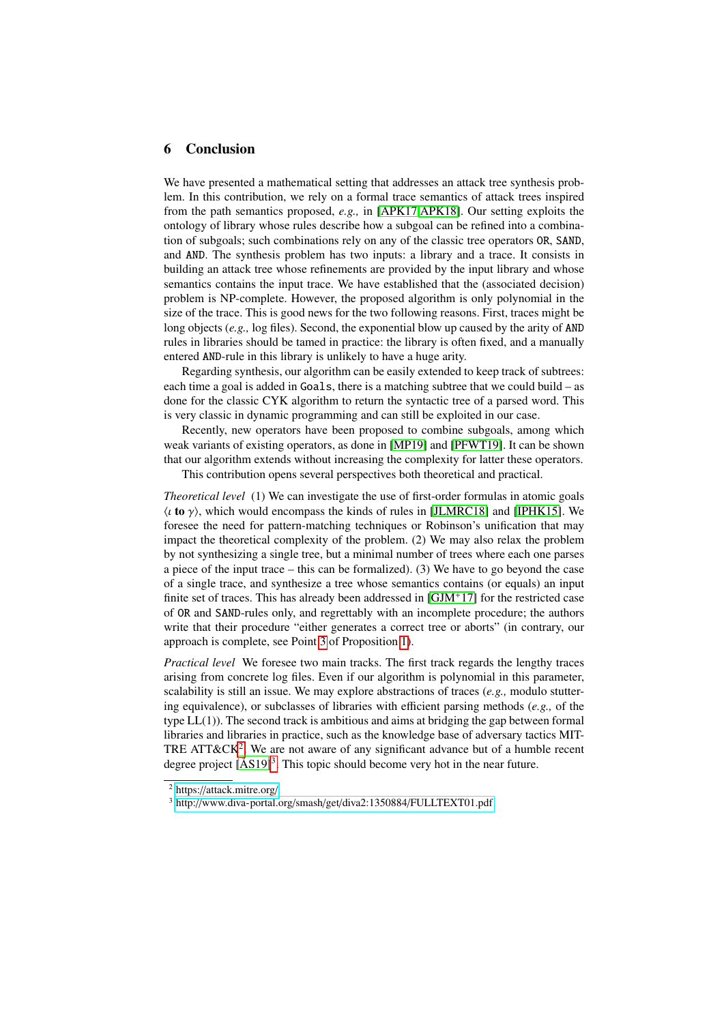### 6 Conclusion

We have presented a mathematical setting that addresses an attack tree synthesis problem. In this contribution, we rely on a formal trace semantics of attack trees inspired from the path semantics proposed, *e.g.,* in [\[APK17,](#page-18-5)[APK18\]](#page-18-13). Our setting exploits the ontology of library whose rules describe how a subgoal can be refined into a combination of subgoals; such combinations rely on any of the classic tree operators OR, SAND, and AND. The synthesis problem has two inputs: a library and a trace. It consists in building an attack tree whose refinements are provided by the input library and whose semantics contains the input trace. We have established that the (associated decision) problem is NP-complete. However, the proposed algorithm is only polynomial in the size of the trace. This is good news for the two following reasons. First, traces might be long objects (*e.g.,* log files). Second, the exponential blow up caused by the arity of AND rules in libraries should be tamed in practice: the library is often fixed, and a manually entered AND-rule in this library is unlikely to have a huge arity.

Regarding synthesis, our algorithm can be easily extended to keep track of subtrees: each time a goal is added in Goals, there is a matching subtree that we could build – as done for the classic CYK algorithm to return the syntactic tree of a parsed word. This is very classic in dynamic programming and can still be exploited in our case.

Recently, new operators have been proposed to combine subgoals, among which weak variants of existing operators, as done in [\[MP19\]](#page-19-9) and [\[PFWT19\]](#page-19-10). It can be shown that our algorithm extends without increasing the complexity for latter these operators.

This contribution opens several perspectives both theoretical and practical.

*Theoretical level* (1) We can investigate the use of first-order formulas in atomic goals  $\langle \iota \rangle$  to  $\gamma$ ), which would encompass the kinds of rules in [\[JLMRC18\]](#page-18-3) and [\[IPHK15\]](#page-18-10). We foresee the need for pattern-matching techniques or Robinson's unification that may impact the theoretical complexity of the problem. (2) We may also relax the problem by not synthesizing a single tree, but a minimal number of trees where each one parses a piece of the input trace – this can be formalized). (3) We have to go beyond the case of a single trace, and synthesize a tree whose semantics contains (or equals) an input finite set of traces. This has already been addressed in  $[GJM^+17]$  $[GJM^+17]$  for the restricted case of OR and SAND-rules only, and regrettably with an incomplete procedure; the authors write that their procedure "either generates a correct tree or aborts" (in contrary, our approach is complete, see Point [3](#page-16-1) of Proposition [1\)](#page-16-2).

*Practical level* We foresee two main tracks. The first track regards the lengthy traces arising from concrete log files. Even if our algorithm is polynomial in this parameter, scalability is still an issue. We may explore abstractions of traces (*e.g.,* modulo stuttering equivalence), or subclasses of libraries with efficient parsing methods (*e.g.,* of the type LL(1)). The second track is ambitious and aims at bridging the gap between formal libraries and libraries in practice, such as the knowledge base of adversary tactics MIT-TRE ATT&CK<sup>[2](#page-17-0)</sup>. We are not aware of any significant advance but of a humble recent degree project  $[\text{ÅS19}]^3$  $[\text{ÅS19}]^3$ . This topic should become very hot in the near future.

<span id="page-17-0"></span><sup>2</sup> https://[attack.mitre.org](https://attack.mitre.org/)/.

<span id="page-17-1"></span><sup>3</sup> http://[www.diva-portal.org](http://www.diva-portal.org/smash/get/diva2:1350884/FULLTEXT01.pdf)/smash/get/diva2:1350884/FULLTEXT01.pdf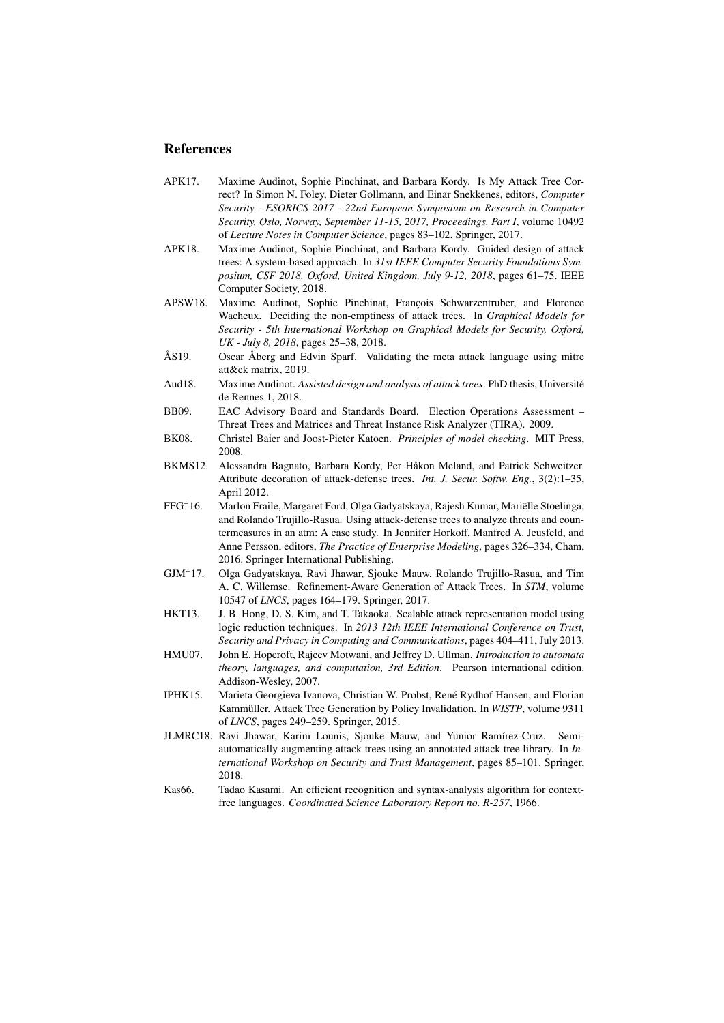## **References**

- <span id="page-18-5"></span>APK17. Maxime Audinot, Sophie Pinchinat, and Barbara Kordy. Is My Attack Tree Correct? In Simon N. Foley, Dieter Gollmann, and Einar Snekkenes, editors, *Computer Security - ESORICS 2017 - 22nd European Symposium on Research in Computer Security, Oslo, Norway, September 11-15, 2017, Proceedings, Part I*, volume 10492 of *Lecture Notes in Computer Science*, pages 83–102. Springer, 2017.
- <span id="page-18-13"></span>APK18. Maxime Audinot, Sophie Pinchinat, and Barbara Kordy. Guided design of attack trees: A system-based approach. In *31st IEEE Computer Security Foundations Symposium, CSF 2018, Oxford, United Kingdom, July 9-12, 2018*, pages 61–75. IEEE Computer Society, 2018.
- <span id="page-18-11"></span>APSW18. Maxime Audinot, Sophie Pinchinat, François Schwarzentruber, and Florence Wacheux. Deciding the non-emptiness of attack trees. In *Graphical Models for Security - 5th International Workshop on Graphical Models for Security, Oxford, UK - July 8, 2018*, pages 25–38, 2018.
- <span id="page-18-14"></span>ÅS19. Oscar Åberg and Edvin Sparf. Validating the meta attack language using mitre att&ck matrix, 2019.
- <span id="page-18-6"></span>Aud18. Maxime Audinot. *Assisted design and analysis of attack trees*. PhD thesis, Université de Rennes 1, 2018.
- <span id="page-18-0"></span>BB09. EAC Advisory Board and Standards Board. Election Operations Assessment – Threat Trees and Matrices and Threat Instance Risk Analyzer (TIRA). 2009.
- <span id="page-18-12"></span>BK08. Christel Baier and Joost-Pieter Katoen. *Principles of model checking*. MIT Press, 2008.
- <span id="page-18-2"></span>BKMS12. Alessandra Bagnato, Barbara Kordy, Per Håkon Meland, and Patrick Schweitzer. Attribute decoration of attack-defense trees. *Int. J. Secur. Softw. Eng.*, 3(2):1–35, April 2012.
- <span id="page-18-1"></span>FFG<sup>+</sup>16. Marlon Fraile, Margaret Ford, Olga Gadyatskaya, Rajesh Kumar, Mariëlle Stoelinga, and Rolando Trujillo-Rasua. Using attack-defense trees to analyze threats and countermeasures in an atm: A case study. In Jennifer Horkoff, Manfred A. Jeusfeld, and Anne Persson, editors, *The Practice of Enterprise Modeling*, pages 326–334, Cham, 2016. Springer International Publishing.
- <span id="page-18-4"></span>GJM<sup>+</sup>17. Olga Gadyatskaya, Ravi Jhawar, Sjouke Mauw, Rolando Trujillo-Rasua, and Tim A. C. Willemse. Refinement-Aware Generation of Attack Trees. In *STM*, volume 10547 of *LNCS*, pages 164–179. Springer, 2017.
- <span id="page-18-9"></span>HKT13. J. B. Hong, D. S. Kim, and T. Takaoka. Scalable attack representation model using logic reduction techniques. In *2013 12th IEEE International Conference on Trust, Security and Privacy in Computing and Communications*, pages 404–411, July 2013.
- <span id="page-18-7"></span>HMU07. John E. Hopcroft, Rajeev Motwani, and Jeffrey D. Ullman. *Introduction to automata theory, languages, and computation, 3rd Edition*. Pearson international edition. Addison-Wesley, 2007.
- <span id="page-18-10"></span>IPHK15. Marieta Georgieva Ivanova, Christian W. Probst, René Rydhof Hansen, and Florian Kammüller. Attack Tree Generation by Policy Invalidation. In *WISTP*, volume 9311 of *LNCS*, pages 249–259. Springer, 2015.
- <span id="page-18-3"></span>JLMRC18. Ravi Jhawar, Karim Lounis, Sjouke Mauw, and Yunior Ramírez-Cruz. Semiautomatically augmenting attack trees using an annotated attack tree library. In *International Workshop on Security and Trust Management*, pages 85–101. Springer, 2018.
- <span id="page-18-8"></span>Kas66. Tadao Kasami. An efficient recognition and syntax-analysis algorithm for contextfree languages. *Coordinated Science Laboratory Report no. R-257*, 1966.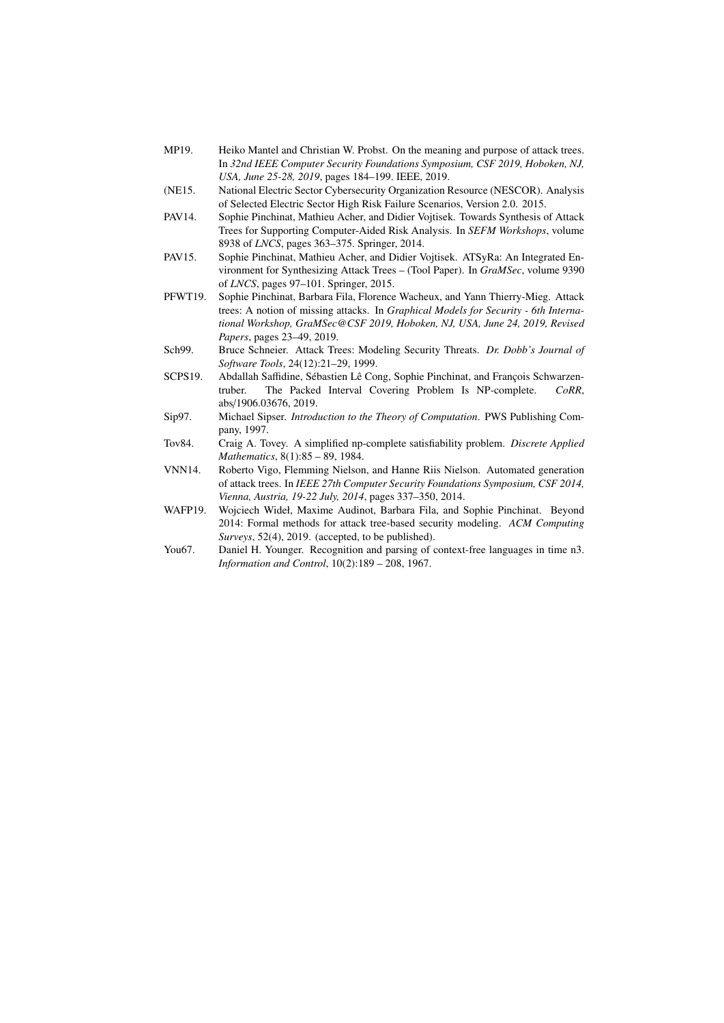- <span id="page-19-9"></span>MP19. Heiko Mantel and Christian W. Probst. On the meaning and purpose of attack trees. In *32nd IEEE Computer Security Foundations Symposium, CSF 2019, Hoboken, NJ, USA, June 25-28, 2019*, pages 184–199. IEEE, 2019.
- <span id="page-19-1"></span>(NE15. National Electric Sector Cybersecurity Organization Resource (NESCOR). Analysis of Selected Electric Sector High Risk Failure Scenarios, Version 2.0. 2015.
- <span id="page-19-5"></span>PAV14. Sophie Pinchinat, Mathieu Acher, and Didier Vojtisek. Towards Synthesis of Attack Trees for Supporting Computer-Aided Risk Analysis. In *SEFM Workshops*, volume 8938 of *LNCS*, pages 363–375. Springer, 2014.
- <span id="page-19-6"></span>PAV15. Sophie Pinchinat, Mathieu Acher, and Didier Vojtisek. ATSyRa: An Integrated Environment for Synthesizing Attack Trees – (Tool Paper). In *GraMSec*, volume 9390 of *LNCS*, pages 97–101. Springer, 2015.
- <span id="page-19-10"></span>PFWT19. Sophie Pinchinat, Barbara Fila, Florence Wacheux, and Yann Thierry-Mieg. Attack trees: A notion of missing attacks. In *Graphical Models for Security - 6th International Workshop, GraMSec@CSF 2019, Hoboken, NJ, USA, June 24, 2019, Revised Papers*, pages 23–49, 2019.
- <span id="page-19-0"></span>Sch99. Bruce Schneier. Attack Trees: Modeling Security Threats. *Dr. Dobb's Journal of Software Tools*, 24(12):21–29, 1999.
- <span id="page-19-2"></span>SCPS19. Abdallah Saffidine, Sébastien Lê Cong, Sophie Pinchinat, and François Schwarzentruber. The Packed Interval Covering Problem Is NP-complete. *CoRR*, abs/1906.03676, 2019.
- <span id="page-19-8"></span>Sip97. Michael Sipser. *Introduction to the Theory of Computation*. PWS Publishing Company, 1997.
- <span id="page-19-11"></span>Tov84. Craig A. Tovey. A simplified np-complete satisfiability problem. *Discrete Applied Mathematics*, 8(1):85 – 89, 1984.
- <span id="page-19-4"></span>VNN14. Roberto Vigo, Flemming Nielson, and Hanne Riis Nielson. Automated generation of attack trees. In *IEEE 27th Computer Security Foundations Symposium, CSF 2014, Vienna, Austria, 19-22 July, 2014*, pages 337–350, 2014.
- <span id="page-19-3"></span>WAFP19. Wojciech Wideł, Maxime Audinot, Barbara Fila, and Sophie Pinchinat. Beyond 2014: Formal methods for attack tree-based security modeling. *ACM Computing Surveys*, 52(4), 2019. (accepted, to be published).
- <span id="page-19-7"></span>You67. Daniel H. Younger. Recognition and parsing of context-free languages in time n3. *Information and Control*, 10(2):189 – 208, 1967.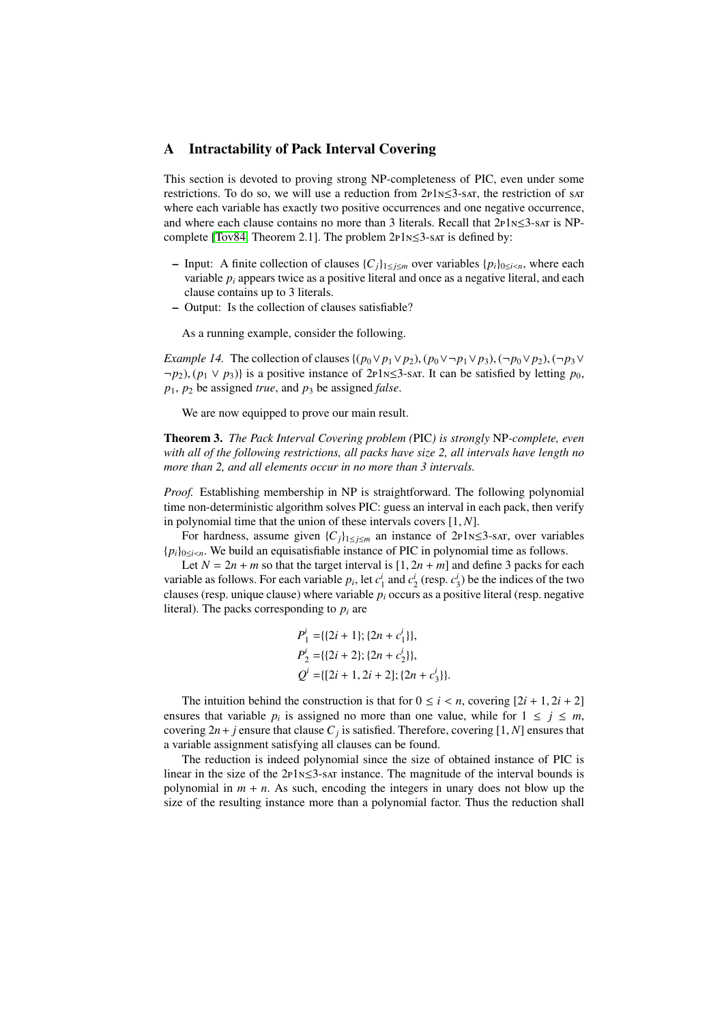## <span id="page-20-0"></span>A Intractability of Pack Interval Covering

This section is devoted to proving strong NP-completeness of PIC, even under some restrictions. To do so, we will use a reduction from  $2P1N\leq 3$ -sat, the restriction of sat where each variable has exactly two positive occurrences and one negative occurrence, and where each clause contains no more than 3 literals. Recall that 2p1n≤3-sat is NPcomplete [\[Tov84,](#page-19-11) Theorem 2.1]. The problem 2p1n≤3-sat is defined by:

- Input: A finite collection of clauses  ${C_j}_{1 \leq j \leq m}$  over variables  ${p_i}_{0 \leq i \leq n}$ , where each variable *p<sup>i</sup>* appears twice as a positive literal and once as a negative literal, and each clause contains up to 3 literals.
- Output: Is the collection of clauses satisfiable?

As a running example, consider the following.

<span id="page-20-1"></span>*Example 14.* The collection of clauses  $\{(p_0 \lor p_1 \lor p_2), (p_0 \lor \neg p_1 \lor p_3), (\neg p_0 \lor p_2), (\neg p_3 \lor \neg p_1 \lor p_3)\}$  $\neg p_2$ ,  $(p_1 \lor p_3)$  is a positive instance of 2p1n≤3-sat. It can be satisfied by letting  $p_0$ ,  $p_1$ ,  $p_2$  be assigned *true*, and  $p_3$  be assigned *false*.

We are now equipped to prove our main result.

Theorem 3. *The Pack Interval Covering problem (*PIC*) is strongly* NP*-complete, even with all of the following restrictions, all packs have size 2, all intervals have length no more than 2, and all elements occur in no more than 3 intervals.*

*Proof.* Establishing membership in NP is straightforward. The following polynomial time non-deterministic algorithm solves PIC: guess an interval in each pack, then verify in polynomial time that the union of these intervals covers [1, *<sup>N</sup>*].

For hardness, assume given  $\{C_j\}_{1 \leq j \leq m}$  an instance of 2p1n≤3-sar, over variables {*pi*}0≤*i*<*<sup>n</sup>*. We build an equisatisfiable instance of PIC in polynomial time as follows.

Let  $N = 2n + m$  so that the target interval is  $[1, 2n + m]$  and define 3 packs for each variable as follows. For each variable  $p_i$ , let  $c_1^i$  and  $c_2^i$  (resp.  $c_3^i$ ) be the indices of the two clauses (resp. unique clause) where variable  $p_i$  occurs as a positive literal (resp. negative literal). The packs corresponding to  $p_i$  are

$$
P_1^i = \{ \{2i+1\}; \{2n+c_1^i\} \},
$$
  
\n
$$
P_2^i = \{ \{2i+2\}; \{2n+c_2^i\} \},
$$
  
\n
$$
Q^i = \{ [2i+1, 2i+2]; \{2n+c_3^i\} \}.
$$

The intuition behind the construction is that for  $0 \le i \le n$ , covering  $[2i + 1, 2i + 2]$ ensures that variable  $p_i$  is assigned no more than one value, while for  $1 \leq j \leq m$ , covering  $2n + j$  ensure that clause  $C_j$  is satisfied. Therefore, covering [1, *N*] ensures that a variable assignment satisfying all clauses can be found a variable assignment satisfying all clauses can be found.

The reduction is indeed polynomial since the size of obtained instance of PIC is linear in the size of the  $2p1N \leq 3$ -sat instance. The magnitude of the interval bounds is polynomial in  $m + n$ . As such, encoding the integers in unary does not blow up the size of the resulting instance more than a polynomial factor. Thus the reduction shall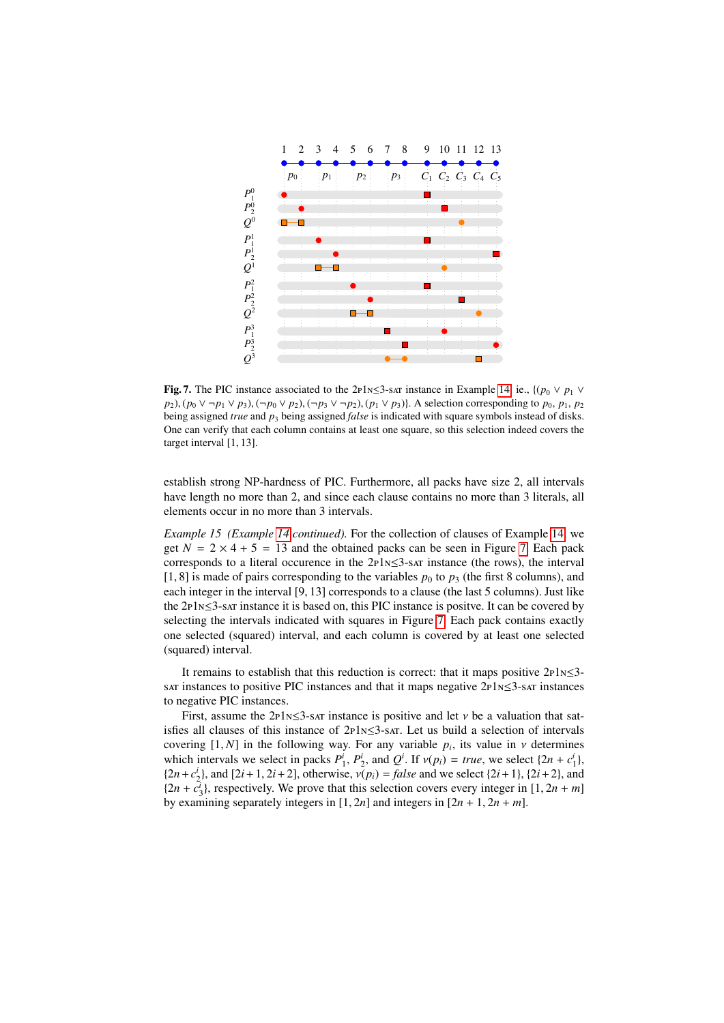

<span id="page-21-0"></span>Fig. 7. The PIC instance associated to the 2p1n≤3-sat instance in Example [14,](#page-20-1) ie.,  $\{(p_0 \vee p_1 \vee p_2)$ *p*<sub>2</sub>), (*p*<sup>0</sup> ∨  $\neg$ *p*<sub>1</sub> ∨ *p*<sub>3</sub>), ( $\neg$ *p*<sup>0</sup>  $\neg$  *p*<sub>2</sub>), ( $\neg$ *p*<sub>3</sub> ∨  $\neg$ *p*<sub>2</sub>), (*p*<sub>1</sub> ∨ *p*<sub>3</sub>)}. A selection corresponding to *p*<sub>0</sub>, *p*<sub>1</sub>, *p*<sub>2</sub> being assigned *true* and *p*<sup>3</sup> being assigned *false* is indicated with square symbols instead of disks. One can verify that each column contains at least one square, so this selection indeed covers the target interval [1, 13].

establish strong NP-hardness of PIC. Furthermore, all packs have size 2, all intervals have length no more than 2, and since each clause contains no more than 3 literals, all elements occur in no more than 3 intervals.

*Example 15 (Example [14](#page-20-1) continued).* For the collection of clauses of Example [14,](#page-20-1) we get  $N = 2 \times 4 + 5 = 13$  and the obtained packs can be seen in Figure [7.](#page-21-0) Each pack corresponds to a literal occurence in the  $2P1N\leq 3$ -sat instance (the rows), the interval [1, 8] is made of pairs corresponding to the variables  $p_0$  to  $p_3$  (the first 8 columns), and each integer in the interval [9, 13] corresponds to a clause (the last 5 columns). Just like the 2p1n≤3-sat instance it is based on, this PIC instance is positve. It can be covered by selecting the intervals indicated with squares in Figure [7.](#page-21-0) Each pack contains exactly one selected (squared) interval, and each column is covered by at least one selected (squared) interval.

It remains to establish that this reduction is correct: that it maps positive  $2P1N\leq 3$ sat instances to positive PIC instances and that it maps negative 2p1n≤3-sat instances to negative PIC instances.

First, assume the 2p1<sub>N</sub> $\leq$ 3-sat instance is positive and let *v* be a valuation that satisfies all clauses of this instance of  $2P1N\leq 3$ -sat. Let us build a selection of intervals covering [1, *N*] in the following way. For any variable *p<sub>i</sub>*, its value in *v* determines<br>which intervals we select in packs  $P^i$ ,  $P^i$  and  $Q^i$ . If  $y(n) = true$  we select  $(2n + c^i)$ . which intervals we select in packs  $P_1^i$ ,  $P_2^i$ , and  $Q^i$ . If  $v(p_i) = true$ , we select  $\{2n + c_1^i\}$ ,  $\{2n + c_1^i\}$ , and  $\{2i + 1, 2i + 2\}$  otherwise  $v(p_i) = false$  and we select  $\{2i + 1\}$ ,  $\{2i + 2\}$  and  $\{2n+c_2^i\}$ , and  $[2i+1, 2i+2]$ , otherwise,  $v(p_i) = false$  and we select  $\{2i+1\}$ ,  $\{2i+2\}$ , and  $\{2n+c_1^i\}$  respectively. We prove that this selection covers every integer in  $[1, 2n+m]$  $\{2n + c_3^T\}$ , respectively. We prove that this selection covers every integer in  $[1, 2n + m]$ <br>by examining separately integers in  $[1, 2n]$  and integers in  $[2n + 1, 2n + m]$ by examining separately integers in  $[1, 2n]$  and integers in  $[2n + 1, 2n + m]$ .